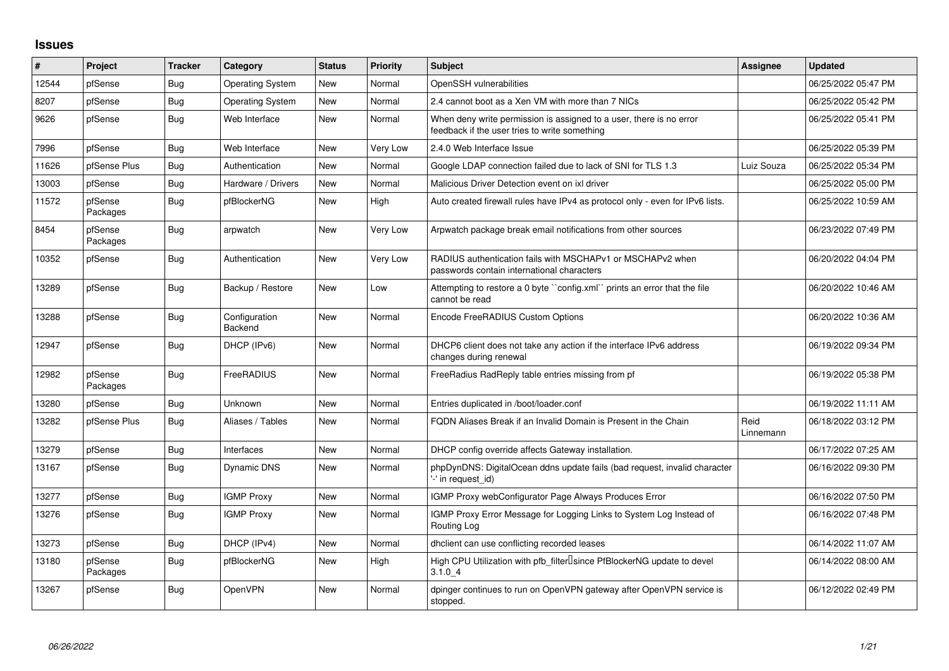## **Issues**

| #     | Project             | Tracker    | Category                 | <b>Status</b> | <b>Priority</b> | <b>Subject</b>                                                                                                       | Assignee          | <b>Updated</b>      |
|-------|---------------------|------------|--------------------------|---------------|-----------------|----------------------------------------------------------------------------------------------------------------------|-------------------|---------------------|
| 12544 | pfSense             | Bug        | <b>Operating System</b>  | <b>New</b>    | Normal          | OpenSSH vulnerabilities                                                                                              |                   | 06/25/2022 05:47 PM |
| 8207  | pfSense             | <b>Bug</b> | <b>Operating System</b>  | New           | Normal          | 2.4 cannot boot as a Xen VM with more than 7 NICs                                                                    |                   | 06/25/2022 05:42 PM |
| 9626  | pfSense             | <b>Bug</b> | Web Interface            | New           | Normal          | When deny write permission is assigned to a user, there is no error<br>feedback if the user tries to write something |                   | 06/25/2022 05:41 PM |
| 7996  | pfSense             | <b>Bug</b> | Web Interface            | New           | Very Low        | 2.4.0 Web Interface Issue                                                                                            |                   | 06/25/2022 05:39 PM |
| 11626 | pfSense Plus        | Bug        | Authentication           | New           | Normal          | Google LDAP connection failed due to lack of SNI for TLS 1.3                                                         | Luiz Souza        | 06/25/2022 05:34 PM |
| 13003 | pfSense             | <b>Bug</b> | Hardware / Drivers       | New           | Normal          | Malicious Driver Detection event on ixl driver                                                                       |                   | 06/25/2022 05:00 PM |
| 11572 | pfSense<br>Packages | Bug        | pfBlockerNG              | <b>New</b>    | High            | Auto created firewall rules have IPv4 as protocol only - even for IPv6 lists.                                        |                   | 06/25/2022 10:59 AM |
| 8454  | pfSense<br>Packages | <b>Bug</b> | arpwatch                 | New           | Very Low        | Arpwatch package break email notifications from other sources                                                        |                   | 06/23/2022 07:49 PM |
| 10352 | pfSense             | Bug        | Authentication           | New           | Very Low        | RADIUS authentication fails with MSCHAPv1 or MSCHAPv2 when<br>passwords contain international characters             |                   | 06/20/2022 04:04 PM |
| 13289 | pfSense             | <b>Bug</b> | Backup / Restore         | New           | Low             | Attempting to restore a 0 byte "config.xml" prints an error that the file<br>cannot be read                          |                   | 06/20/2022 10:46 AM |
| 13288 | pfSense             | <b>Bug</b> | Configuration<br>Backend | <b>New</b>    | Normal          | Encode FreeRADIUS Custom Options                                                                                     |                   | 06/20/2022 10:36 AM |
| 12947 | pfSense             | <b>Bug</b> | DHCP (IPv6)              | New           | Normal          | DHCP6 client does not take any action if the interface IPv6 address<br>changes during renewal                        |                   | 06/19/2022 09:34 PM |
| 12982 | pfSense<br>Packages | <b>Bug</b> | FreeRADIUS               | <b>New</b>    | Normal          | FreeRadius RadReply table entries missing from pf                                                                    |                   | 06/19/2022 05:38 PM |
| 13280 | pfSense             | <b>Bug</b> | Unknown                  | <b>New</b>    | Normal          | Entries duplicated in /boot/loader.conf                                                                              |                   | 06/19/2022 11:11 AM |
| 13282 | pfSense Plus        | <b>Bug</b> | Aliases / Tables         | New           | Normal          | FQDN Aliases Break if an Invalid Domain is Present in the Chain                                                      | Reid<br>Linnemann | 06/18/2022 03:12 PM |
| 13279 | pfSense             | <b>Bug</b> | Interfaces               | New           | Normal          | DHCP config override affects Gateway installation.                                                                   |                   | 06/17/2022 07:25 AM |
| 13167 | pfSense             | <b>Bug</b> | Dynamic DNS              | New           | Normal          | phpDynDNS: DigitalOcean ddns update fails (bad request, invalid character<br>'-' in request_id)                      |                   | 06/16/2022 09:30 PM |
| 13277 | pfSense             | <b>Bug</b> | <b>IGMP Proxy</b>        | <b>New</b>    | Normal          | IGMP Proxy webConfigurator Page Always Produces Error                                                                |                   | 06/16/2022 07:50 PM |
| 13276 | pfSense             | Bug        | <b>IGMP Proxy</b>        | New           | Normal          | IGMP Proxy Error Message for Logging Links to System Log Instead of<br>Routing Log                                   |                   | 06/16/2022 07:48 PM |
| 13273 | pfSense             | <b>Bug</b> | DHCP (IPv4)              | New           | Normal          | dhclient can use conflicting recorded leases                                                                         |                   | 06/14/2022 11:07 AM |
| 13180 | pfSense<br>Packages | <b>Bug</b> | pfBlockerNG              | <b>New</b>    | High            | High CPU Utilization with pfb filter Isince PfBlockerNG update to devel<br>3.1.04                                    |                   | 06/14/2022 08:00 AM |
| 13267 | pfSense             | <b>Bug</b> | OpenVPN                  | New           | Normal          | dpinger continues to run on OpenVPN gateway after OpenVPN service is<br>stopped.                                     |                   | 06/12/2022 02:49 PM |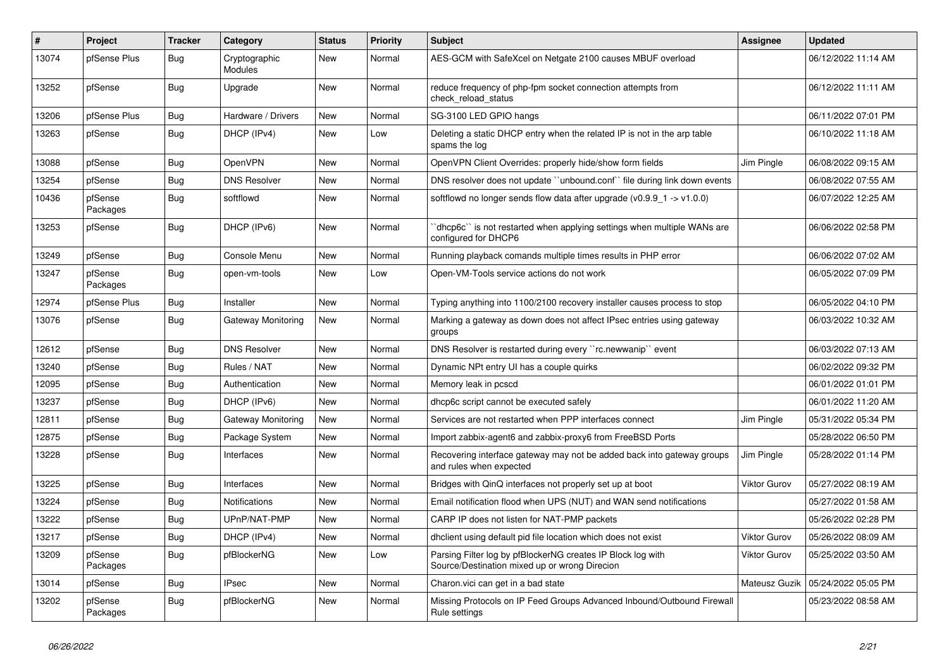| #     | Project             | <b>Tracker</b> | Category                  | <b>Status</b> | <b>Priority</b> | <b>Subject</b>                                                                                               | Assignee            | <b>Updated</b>      |
|-------|---------------------|----------------|---------------------------|---------------|-----------------|--------------------------------------------------------------------------------------------------------------|---------------------|---------------------|
| 13074 | pfSense Plus        | <b>Bug</b>     | Cryptographic<br>Modules  | <b>New</b>    | Normal          | AES-GCM with SafeXcel on Netgate 2100 causes MBUF overload                                                   |                     | 06/12/2022 11:14 AM |
| 13252 | pfSense             | Bug            | Upgrade                   | New           | Normal          | reduce frequency of php-fpm socket connection attempts from<br>check reload status                           |                     | 06/12/2022 11:11 AM |
| 13206 | pfSense Plus        | <b>Bug</b>     | Hardware / Drivers        | <b>New</b>    | Normal          | SG-3100 LED GPIO hangs                                                                                       |                     | 06/11/2022 07:01 PM |
| 13263 | pfSense             | <b>Bug</b>     | DHCP (IPv4)               | <b>New</b>    | Low             | Deleting a static DHCP entry when the related IP is not in the arp table<br>spams the log                    |                     | 06/10/2022 11:18 AM |
| 13088 | pfSense             | <b>Bug</b>     | OpenVPN                   | <b>New</b>    | Normal          | OpenVPN Client Overrides: properly hide/show form fields                                                     | Jim Pingle          | 06/08/2022 09:15 AM |
| 13254 | pfSense             | <b>Bug</b>     | <b>DNS Resolver</b>       | <b>New</b>    | Normal          | DNS resolver does not update "unbound.conf" file during link down events                                     |                     | 06/08/2022 07:55 AM |
| 10436 | pfSense<br>Packages | <b>Bug</b>     | softflowd                 | New           | Normal          | softflowd no longer sends flow data after upgrade ( $v0.9.9$ 1 -> $v1.0.0$ )                                 |                     | 06/07/2022 12:25 AM |
| 13253 | pfSense             | <b>Bug</b>     | DHCP (IPv6)               | <b>New</b>    | Normal          | 'dhcp6c'' is not restarted when applying settings when multiple WANs are<br>configured for DHCP6             |                     | 06/06/2022 02:58 PM |
| 13249 | pfSense             | <b>Bug</b>     | Console Menu              | <b>New</b>    | Normal          | Running playback comands multiple times results in PHP error                                                 |                     | 06/06/2022 07:02 AM |
| 13247 | pfSense<br>Packages | Bug            | open-vm-tools             | New           | Low             | Open-VM-Tools service actions do not work                                                                    |                     | 06/05/2022 07:09 PM |
| 12974 | pfSense Plus        | Bug            | Installer                 | <b>New</b>    | Normal          | Typing anything into 1100/2100 recovery installer causes process to stop                                     |                     | 06/05/2022 04:10 PM |
| 13076 | pfSense             | <b>Bug</b>     | Gateway Monitoring        | New           | Normal          | Marking a gateway as down does not affect IPsec entries using gateway<br>groups                              |                     | 06/03/2022 10:32 AM |
| 12612 | pfSense             | Bug            | <b>DNS Resolver</b>       | <b>New</b>    | Normal          | DNS Resolver is restarted during every "rc.newwanip" event                                                   |                     | 06/03/2022 07:13 AM |
| 13240 | pfSense             | <b>Bug</b>     | Rules / NAT               | New           | Normal          | Dynamic NPt entry UI has a couple quirks                                                                     |                     | 06/02/2022 09:32 PM |
| 12095 | pfSense             | Bug            | Authentication            | New           | Normal          | Memory leak in pcscd                                                                                         |                     | 06/01/2022 01:01 PM |
| 13237 | pfSense             | <b>Bug</b>     | DHCP (IPv6)               | <b>New</b>    | Normal          | dhcp6c script cannot be executed safely                                                                      |                     | 06/01/2022 11:20 AM |
| 12811 | pfSense             | <b>Bug</b>     | <b>Gateway Monitoring</b> | New           | Normal          | Services are not restarted when PPP interfaces connect                                                       | Jim Pingle          | 05/31/2022 05:34 PM |
| 12875 | pfSense             | <b>Bug</b>     | Package System            | <b>New</b>    | Normal          | Import zabbix-agent6 and zabbix-proxy6 from FreeBSD Ports                                                    |                     | 05/28/2022 06:50 PM |
| 13228 | pfSense             | Bug            | Interfaces                | New           | Normal          | Recovering interface gateway may not be added back into gateway groups<br>and rules when expected            | Jim Pingle          | 05/28/2022 01:14 PM |
| 13225 | pfSense             | <b>Bug</b>     | Interfaces                | New           | Normal          | Bridges with QinQ interfaces not properly set up at boot                                                     | <b>Viktor Gurov</b> | 05/27/2022 08:19 AM |
| 13224 | pfSense             | <b>Bug</b>     | <b>Notifications</b>      | New           | Normal          | Email notification flood when UPS (NUT) and WAN send notifications                                           |                     | 05/27/2022 01:58 AM |
| 13222 | pfSense             | <b>Bug</b>     | UPnP/NAT-PMP              | New           | Normal          | CARP IP does not listen for NAT-PMP packets                                                                  |                     | 05/26/2022 02:28 PM |
| 13217 | pfSense             | <b>Bug</b>     | DHCP (IPv4)               | New           | Normal          | dhclient using default pid file location which does not exist                                                | Viktor Gurov        | 05/26/2022 08:09 AM |
| 13209 | pfSense<br>Packages | <b>Bug</b>     | pfBlockerNG               | New           | Low             | Parsing Filter log by pfBlockerNG creates IP Block log with<br>Source/Destination mixed up or wrong Direcion | Viktor Gurov        | 05/25/2022 03:50 AM |
| 13014 | pfSense             | Bug            | <b>IPsec</b>              | <b>New</b>    | Normal          | Charon vici can get in a bad state                                                                           | Mateusz Guzik       | 05/24/2022 05:05 PM |
| 13202 | pfSense<br>Packages | Bug            | pfBlockerNG               | <b>New</b>    | Normal          | Missing Protocols on IP Feed Groups Advanced Inbound/Outbound Firewall<br>Rule settings                      |                     | 05/23/2022 08:58 AM |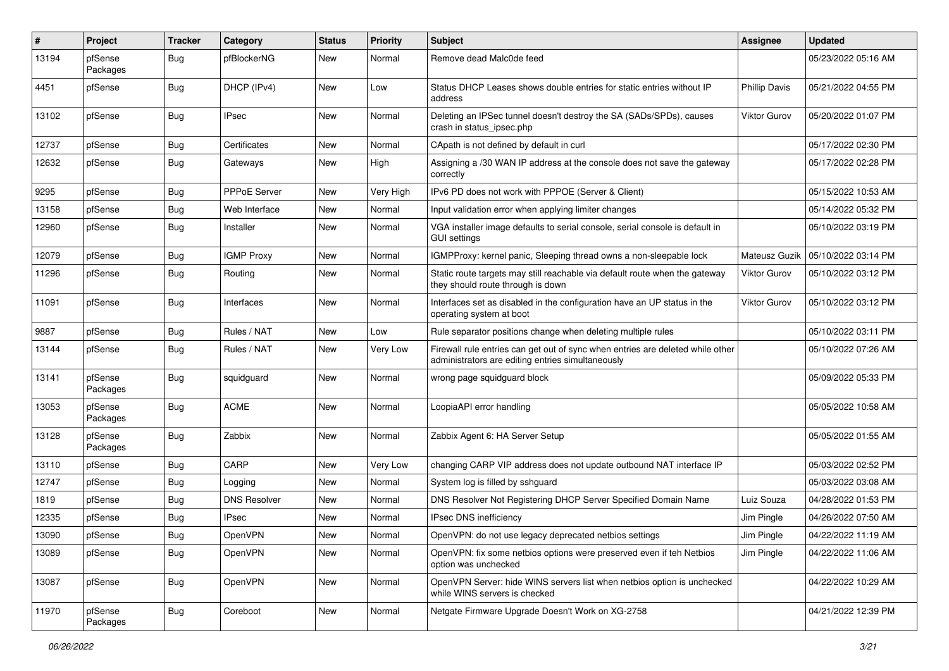| #     | <b>Project</b>      | <b>Tracker</b> | Category            | <b>Status</b> | <b>Priority</b> | Subject                                                                                                                             | Assignee             | <b>Updated</b>      |
|-------|---------------------|----------------|---------------------|---------------|-----------------|-------------------------------------------------------------------------------------------------------------------------------------|----------------------|---------------------|
| 13194 | pfSense<br>Packages | <b>Bug</b>     | pfBlockerNG         | <b>New</b>    | Normal          | Remove dead Malc0de feed                                                                                                            |                      | 05/23/2022 05:16 AM |
| 4451  | pfSense             | <b>Bug</b>     | DHCP (IPv4)         | New           | Low             | Status DHCP Leases shows double entries for static entries without IP<br>address                                                    | <b>Phillip Davis</b> | 05/21/2022 04:55 PM |
| 13102 | pfSense             | <b>Bug</b>     | <b>IPsec</b>        | New           | Normal          | Deleting an IPSec tunnel doesn't destroy the SA (SADs/SPDs), causes<br>crash in status_ipsec.php                                    | Viktor Gurov         | 05/20/2022 01:07 PM |
| 12737 | pfSense             | <b>Bug</b>     | Certificates        | New           | Normal          | CApath is not defined by default in curl                                                                                            |                      | 05/17/2022 02:30 PM |
| 12632 | pfSense             | <b>Bug</b>     | Gateways            | New           | High            | Assigning a /30 WAN IP address at the console does not save the gateway<br>correctly                                                |                      | 05/17/2022 02:28 PM |
| 9295  | pfSense             | <b>Bug</b>     | <b>PPPoE Server</b> | <b>New</b>    | Very High       | IPv6 PD does not work with PPPOE (Server & Client)                                                                                  |                      | 05/15/2022 10:53 AM |
| 13158 | pfSense             | <b>Bug</b>     | Web Interface       | New           | Normal          | Input validation error when applying limiter changes                                                                                |                      | 05/14/2022 05:32 PM |
| 12960 | pfSense             | <b>Bug</b>     | Installer           | New           | Normal          | VGA installer image defaults to serial console, serial console is default in<br><b>GUI settings</b>                                 |                      | 05/10/2022 03:19 PM |
| 12079 | pfSense             | <b>Bug</b>     | <b>IGMP Proxy</b>   | New           | Normal          | IGMPProxy: kernel panic, Sleeping thread owns a non-sleepable lock                                                                  | Mateusz Guzik        | 05/10/2022 03:14 PM |
| 11296 | pfSense             | <b>Bug</b>     | Routing             | New           | Normal          | Static route targets may still reachable via default route when the gateway<br>they should route through is down                    | Viktor Gurov         | 05/10/2022 03:12 PM |
| 11091 | pfSense             | <b>Bug</b>     | Interfaces          | New           | Normal          | Interfaces set as disabled in the configuration have an UP status in the<br>operating system at boot                                | Viktor Gurov         | 05/10/2022 03:12 PM |
| 9887  | pfSense             | <b>Bug</b>     | Rules / NAT         | New           | Low             | Rule separator positions change when deleting multiple rules                                                                        |                      | 05/10/2022 03:11 PM |
| 13144 | pfSense             | <b>Bug</b>     | Rules / NAT         | New           | Very Low        | Firewall rule entries can get out of sync when entries are deleted while other<br>administrators are editing entries simultaneously |                      | 05/10/2022 07:26 AM |
| 13141 | pfSense<br>Packages | <b>Bug</b>     | squidguard          | New           | Normal          | wrong page squidguard block                                                                                                         |                      | 05/09/2022 05:33 PM |
| 13053 | pfSense<br>Packages | <b>Bug</b>     | <b>ACME</b>         | New           | Normal          | LoopiaAPI error handling                                                                                                            |                      | 05/05/2022 10:58 AM |
| 13128 | pfSense<br>Packages | <b>Bug</b>     | Zabbix              | New           | Normal          | Zabbix Agent 6: HA Server Setup                                                                                                     |                      | 05/05/2022 01:55 AM |
| 13110 | pfSense             | <b>Bug</b>     | CARP                | New           | Very Low        | changing CARP VIP address does not update outbound NAT interface IP                                                                 |                      | 05/03/2022 02:52 PM |
| 12747 | pfSense             | <b>Bug</b>     | Logging             | New           | Normal          | System log is filled by sshguard                                                                                                    |                      | 05/03/2022 03:08 AM |
| 1819  | pfSense             | <b>Bug</b>     | <b>DNS Resolver</b> | New           | Normal          | DNS Resolver Not Registering DHCP Server Specified Domain Name                                                                      | Luiz Souza           | 04/28/2022 01:53 PM |
| 12335 | pfSense             | <b>Bug</b>     | IPsec               | New           | Normal          | IPsec DNS inefficiency                                                                                                              | Jim Pingle           | 04/26/2022 07:50 AM |
| 13090 | pfSense             | Bug            | OpenVPN             | New           | Normal          | OpenVPN: do not use legacy deprecated netbios settings                                                                              | Jim Pingle           | 04/22/2022 11:19 AM |
| 13089 | pfSense             | <b>Bug</b>     | OpenVPN             | New           | Normal          | OpenVPN: fix some netbios options were preserved even if teh Netbios<br>option was unchecked                                        | Jim Pingle           | 04/22/2022 11:06 AM |
| 13087 | pfSense             | <b>Bug</b>     | OpenVPN             | New           | Normal          | OpenVPN Server: hide WINS servers list when netbios option is unchecked<br>while WINS servers is checked                            |                      | 04/22/2022 10:29 AM |
| 11970 | pfSense<br>Packages | <b>Bug</b>     | Coreboot            | New           | Normal          | Netgate Firmware Upgrade Doesn't Work on XG-2758                                                                                    |                      | 04/21/2022 12:39 PM |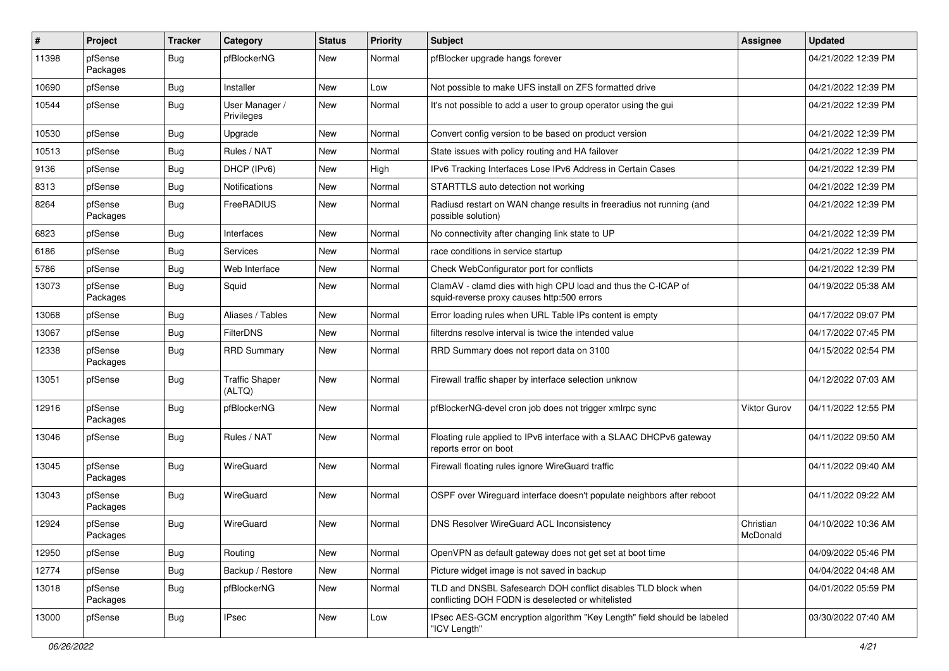| #     | Project             | Tracker    | Category                        | <b>Status</b> | <b>Priority</b> | <b>Subject</b>                                                                                                     | Assignee              | <b>Updated</b>      |
|-------|---------------------|------------|---------------------------------|---------------|-----------------|--------------------------------------------------------------------------------------------------------------------|-----------------------|---------------------|
| 11398 | pfSense<br>Packages | <b>Bug</b> | pfBlockerNG                     | New           | Normal          | pfBlocker upgrade hangs forever                                                                                    |                       | 04/21/2022 12:39 PM |
| 10690 | pfSense             | <b>Bug</b> | Installer                       | New           | Low             | Not possible to make UFS install on ZFS formatted drive                                                            |                       | 04/21/2022 12:39 PM |
| 10544 | pfSense             | <b>Bug</b> | User Manager /<br>Privileges    | New           | Normal          | It's not possible to add a user to group operator using the gui                                                    |                       | 04/21/2022 12:39 PM |
| 10530 | pfSense             | <b>Bug</b> | Upgrade                         | New           | Normal          | Convert config version to be based on product version                                                              |                       | 04/21/2022 12:39 PM |
| 10513 | pfSense             | <b>Bug</b> | Rules / NAT                     | New           | Normal          | State issues with policy routing and HA failover                                                                   |                       | 04/21/2022 12:39 PM |
| 9136  | pfSense             | <b>Bug</b> | DHCP (IPv6)                     | New           | High            | IPv6 Tracking Interfaces Lose IPv6 Address in Certain Cases                                                        |                       | 04/21/2022 12:39 PM |
| 8313  | pfSense             | <b>Bug</b> | Notifications                   | New           | Normal          | STARTTLS auto detection not working                                                                                |                       | 04/21/2022 12:39 PM |
| 8264  | pfSense<br>Packages | <b>Bug</b> | FreeRADIUS                      | New           | Normal          | Radiusd restart on WAN change results in freeradius not running (and<br>possible solution)                         |                       | 04/21/2022 12:39 PM |
| 6823  | pfSense             | <b>Bug</b> | Interfaces                      | New           | Normal          | No connectivity after changing link state to UP                                                                    |                       | 04/21/2022 12:39 PM |
| 6186  | pfSense             | <b>Bug</b> | Services                        | New           | Normal          | race conditions in service startup                                                                                 |                       | 04/21/2022 12:39 PM |
| 5786  | pfSense             | <b>Bug</b> | Web Interface                   | New           | Normal          | Check WebConfigurator port for conflicts                                                                           |                       | 04/21/2022 12:39 PM |
| 13073 | pfSense<br>Packages | <b>Bug</b> | Squid                           | New           | Normal          | ClamAV - clamd dies with high CPU load and thus the C-ICAP of<br>squid-reverse proxy causes http:500 errors        |                       | 04/19/2022 05:38 AM |
| 13068 | pfSense             | <b>Bug</b> | Aliases / Tables                | New           | Normal          | Error loading rules when URL Table IPs content is empty                                                            |                       | 04/17/2022 09:07 PM |
| 13067 | pfSense             | Bug        | FilterDNS                       | New           | Normal          | filterdns resolve interval is twice the intended value                                                             |                       | 04/17/2022 07:45 PM |
| 12338 | pfSense<br>Packages | <b>Bug</b> | <b>RRD Summary</b>              | New           | Normal          | RRD Summary does not report data on 3100                                                                           |                       | 04/15/2022 02:54 PM |
| 13051 | pfSense             | <b>Bug</b> | <b>Traffic Shaper</b><br>(ALTQ) | New           | Normal          | Firewall traffic shaper by interface selection unknow                                                              |                       | 04/12/2022 07:03 AM |
| 12916 | pfSense<br>Packages | <b>Bug</b> | pfBlockerNG                     | New           | Normal          | pfBlockerNG-devel cron job does not trigger xmlrpc sync                                                            | <b>Viktor Gurov</b>   | 04/11/2022 12:55 PM |
| 13046 | pfSense             | <b>Bug</b> | Rules / NAT                     | New           | Normal          | Floating rule applied to IPv6 interface with a SLAAC DHCPv6 gateway<br>reports error on boot                       |                       | 04/11/2022 09:50 AM |
| 13045 | pfSense<br>Packages | <b>Bug</b> | WireGuard                       | New           | Normal          | Firewall floating rules ignore WireGuard traffic                                                                   |                       | 04/11/2022 09:40 AM |
| 13043 | pfSense<br>Packages | <b>Bug</b> | WireGuard                       | New           | Normal          | OSPF over Wireguard interface doesn't populate neighbors after reboot                                              |                       | 04/11/2022 09:22 AM |
| 12924 | pfSense<br>Packages | <b>Bug</b> | WireGuard                       | New           | Normal          | DNS Resolver WireGuard ACL Inconsistency                                                                           | Christian<br>McDonald | 04/10/2022 10:36 AM |
| 12950 | pfSense             | <b>Bug</b> | Routing                         | New           | Normal          | OpenVPN as default gateway does not get set at boot time                                                           |                       | 04/09/2022 05:46 PM |
| 12774 | pfSense             | Bug        | Backup / Restore                | New           | Normal          | Picture widget image is not saved in backup                                                                        |                       | 04/04/2022 04:48 AM |
| 13018 | pfSense<br>Packages | Bug        | pfBlockerNG                     | New           | Normal          | TLD and DNSBL Safesearch DOH conflict disables TLD block when<br>conflicting DOH FQDN is deselected or whitelisted |                       | 04/01/2022 05:59 PM |
| 13000 | pfSense             | Bug        | <b>IPsec</b>                    | New           | Low             | IPsec AES-GCM encryption algorithm "Key Length" field should be labeled<br>"ICV Length"                            |                       | 03/30/2022 07:40 AM |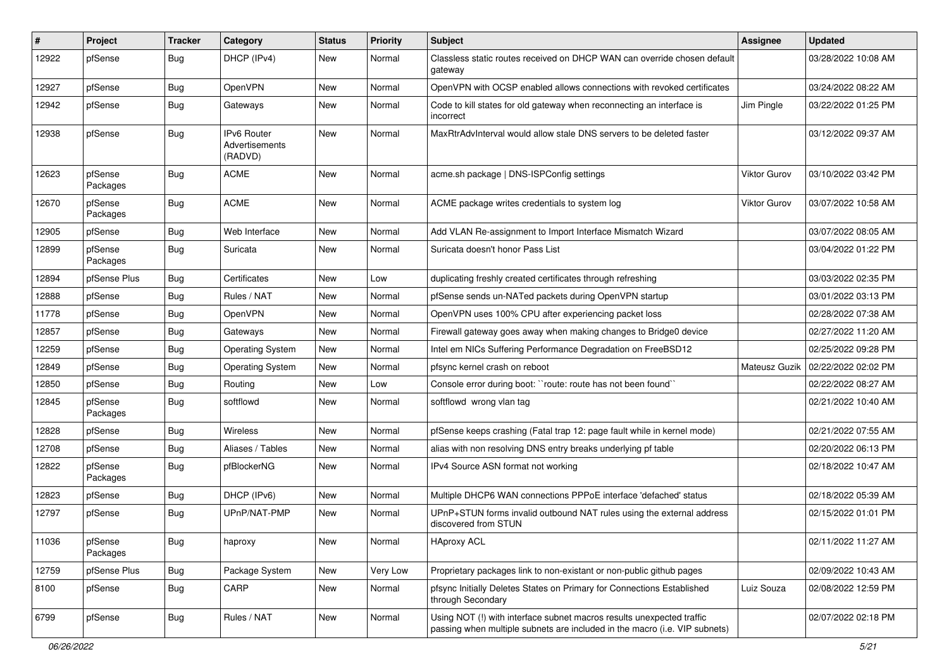| $\vert$ # | Project             | Tracker    | Category                                        | <b>Status</b> | <b>Priority</b> | <b>Subject</b>                                                                                                                                      | Assignee      | <b>Updated</b>      |
|-----------|---------------------|------------|-------------------------------------------------|---------------|-----------------|-----------------------------------------------------------------------------------------------------------------------------------------------------|---------------|---------------------|
| 12922     | pfSense             | <b>Bug</b> | DHCP (IPv4)                                     | New           | Normal          | Classless static routes received on DHCP WAN can override chosen default<br>gateway                                                                 |               | 03/28/2022 10:08 AM |
| 12927     | pfSense             | <b>Bug</b> | OpenVPN                                         | New           | Normal          | OpenVPN with OCSP enabled allows connections with revoked certificates                                                                              |               | 03/24/2022 08:22 AM |
| 12942     | pfSense             | <b>Bug</b> | Gateways                                        | New           | Normal          | Code to kill states for old gateway when reconnecting an interface is<br>incorrect                                                                  | Jim Pingle    | 03/22/2022 01:25 PM |
| 12938     | pfSense             | <b>Bug</b> | <b>IPv6 Router</b><br>Advertisements<br>(RADVD) | New           | Normal          | MaxRtrAdvInterval would allow stale DNS servers to be deleted faster                                                                                |               | 03/12/2022 09:37 AM |
| 12623     | pfSense<br>Packages | <b>Bug</b> | ACME                                            | New           | Normal          | acme.sh package   DNS-ISPConfig settings                                                                                                            | Viktor Gurov  | 03/10/2022 03:42 PM |
| 12670     | pfSense<br>Packages | <b>Bug</b> | <b>ACME</b>                                     | New           | Normal          | ACME package writes credentials to system log                                                                                                       | Viktor Gurov  | 03/07/2022 10:58 AM |
| 12905     | pfSense             | <b>Bug</b> | Web Interface                                   | New           | Normal          | Add VLAN Re-assignment to Import Interface Mismatch Wizard                                                                                          |               | 03/07/2022 08:05 AM |
| 12899     | pfSense<br>Packages | <b>Bug</b> | Suricata                                        | New           | Normal          | Suricata doesn't honor Pass List                                                                                                                    |               | 03/04/2022 01:22 PM |
| 12894     | pfSense Plus        | <b>Bug</b> | Certificates                                    | New           | Low             | duplicating freshly created certificates through refreshing                                                                                         |               | 03/03/2022 02:35 PM |
| 12888     | pfSense             | <b>Bug</b> | Rules / NAT                                     | New           | Normal          | pfSense sends un-NATed packets during OpenVPN startup                                                                                               |               | 03/01/2022 03:13 PM |
| 11778     | pfSense             | <b>Bug</b> | OpenVPN                                         | New           | Normal          | OpenVPN uses 100% CPU after experiencing packet loss                                                                                                |               | 02/28/2022 07:38 AM |
| 12857     | pfSense             | <b>Bug</b> | Gateways                                        | New           | Normal          | Firewall gateway goes away when making changes to Bridge0 device                                                                                    |               | 02/27/2022 11:20 AM |
| 12259     | pfSense             | <b>Bug</b> | <b>Operating System</b>                         | New           | Normal          | Intel em NICs Suffering Performance Degradation on FreeBSD12                                                                                        |               | 02/25/2022 09:28 PM |
| 12849     | pfSense             | <b>Bug</b> | <b>Operating System</b>                         | New           | Normal          | pfsync kernel crash on reboot                                                                                                                       | Mateusz Guzik | 02/22/2022 02:02 PM |
| 12850     | pfSense             | <b>Bug</b> | Routing                                         | New           | Low             | Console error during boot: "route: route has not been found"                                                                                        |               | 02/22/2022 08:27 AM |
| 12845     | pfSense<br>Packages | <b>Bug</b> | softflowd                                       | New           | Normal          | softflowd wrong vlan tag                                                                                                                            |               | 02/21/2022 10:40 AM |
| 12828     | pfSense             | <b>Bug</b> | Wireless                                        | New           | Normal          | pfSense keeps crashing (Fatal trap 12: page fault while in kernel mode)                                                                             |               | 02/21/2022 07:55 AM |
| 12708     | pfSense             | <b>Bug</b> | Aliases / Tables                                | New           | Normal          | alias with non resolving DNS entry breaks underlying pf table                                                                                       |               | 02/20/2022 06:13 PM |
| 12822     | pfSense<br>Packages | <b>Bug</b> | pfBlockerNG                                     | New           | Normal          | IPv4 Source ASN format not working                                                                                                                  |               | 02/18/2022 10:47 AM |
| 12823     | pfSense             | <b>Bug</b> | DHCP (IPv6)                                     | New           | Normal          | Multiple DHCP6 WAN connections PPPoE interface 'defached' status                                                                                    |               | 02/18/2022 05:39 AM |
| 12797     | pfSense             | <b>Bug</b> | UPnP/NAT-PMP                                    | New           | Normal          | UPnP+STUN forms invalid outbound NAT rules using the external address<br>discovered from STUN                                                       |               | 02/15/2022 01:01 PM |
| 11036     | pfSense<br>Packages | <b>Bug</b> | haproxy                                         | New           | Normal          | <b>HAproxy ACL</b>                                                                                                                                  |               | 02/11/2022 11:27 AM |
| 12759     | pfSense Plus        | <b>Bug</b> | Package System                                  | New           | Very Low        | Proprietary packages link to non-existant or non-public github pages                                                                                |               | 02/09/2022 10:43 AM |
| 8100      | pfSense             | <b>Bug</b> | CARP                                            | New           | Normal          | pfsync Initially Deletes States on Primary for Connections Established<br>through Secondary                                                         | Luiz Souza    | 02/08/2022 12:59 PM |
| 6799      | pfSense             | <b>Bug</b> | Rules / NAT                                     | New           | Normal          | Using NOT (!) with interface subnet macros results unexpected traffic<br>passing when multiple subnets are included in the macro (i.e. VIP subnets) |               | 02/07/2022 02:18 PM |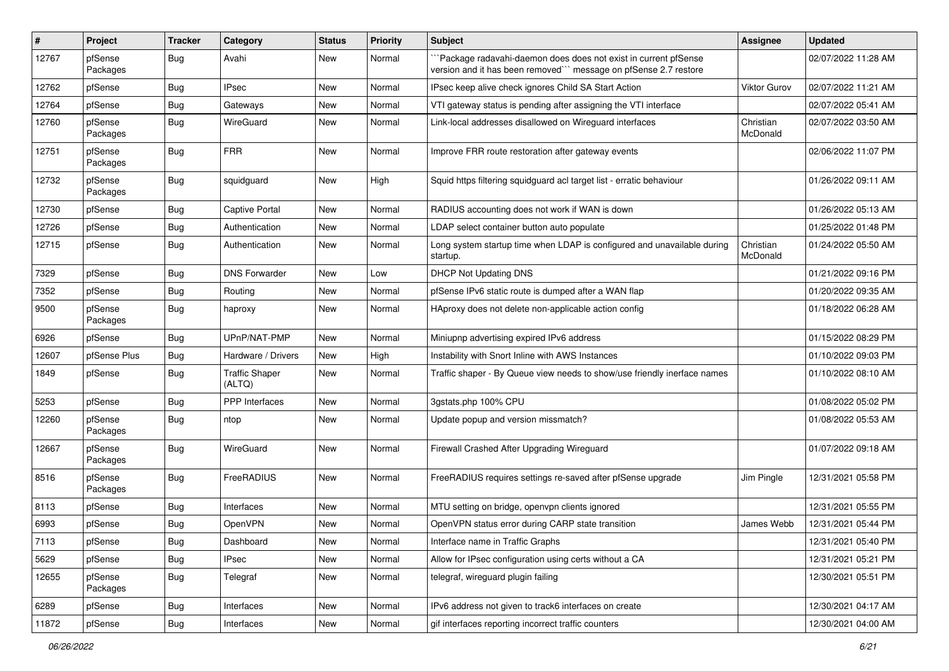| #     | Project             | <b>Tracker</b> | Category                        | <b>Status</b> | <b>Priority</b> | <b>Subject</b>                                                                                                                     | Assignee              | <b>Updated</b>      |
|-------|---------------------|----------------|---------------------------------|---------------|-----------------|------------------------------------------------------------------------------------------------------------------------------------|-----------------------|---------------------|
| 12767 | pfSense<br>Packages | <b>Bug</b>     | Avahi                           | New           | Normal          | "Package radavahi-daemon does does not exist in current pfSense<br>version and it has been removed" message on pfSense 2.7 restore |                       | 02/07/2022 11:28 AM |
| 12762 | pfSense             | <b>Bug</b>     | <b>IPsec</b>                    | New           | Normal          | IPsec keep alive check ignores Child SA Start Action                                                                               | Viktor Gurov          | 02/07/2022 11:21 AM |
| 12764 | pfSense             | Bug            | Gateways                        | New           | Normal          | VTI gateway status is pending after assigning the VTI interface                                                                    |                       | 02/07/2022 05:41 AM |
| 12760 | pfSense<br>Packages | <b>Bug</b>     | WireGuard                       | New           | Normal          | Link-local addresses disallowed on Wireguard interfaces                                                                            | Christian<br>McDonald | 02/07/2022 03:50 AM |
| 12751 | pfSense<br>Packages | <b>Bug</b>     | <b>FRR</b>                      | New           | Normal          | Improve FRR route restoration after gateway events                                                                                 |                       | 02/06/2022 11:07 PM |
| 12732 | pfSense<br>Packages | <b>Bug</b>     | squidguard                      | New           | High            | Squid https filtering squidguard acl target list - erratic behaviour                                                               |                       | 01/26/2022 09:11 AM |
| 12730 | pfSense             | <b>Bug</b>     | Captive Portal                  | New           | Normal          | RADIUS accounting does not work if WAN is down                                                                                     |                       | 01/26/2022 05:13 AM |
| 12726 | pfSense             | <b>Bug</b>     | Authentication                  | New           | Normal          | LDAP select container button auto populate                                                                                         |                       | 01/25/2022 01:48 PM |
| 12715 | pfSense             | <b>Bug</b>     | Authentication                  | New           | Normal          | Long system startup time when LDAP is configured and unavailable during<br>startup.                                                | Christian<br>McDonald | 01/24/2022 05:50 AM |
| 7329  | pfSense             | <b>Bug</b>     | <b>DNS Forwarder</b>            | New           | Low             | <b>DHCP Not Updating DNS</b>                                                                                                       |                       | 01/21/2022 09:16 PM |
| 7352  | pfSense             | <b>Bug</b>     | Routing                         | <b>New</b>    | Normal          | pfSense IPv6 static route is dumped after a WAN flap                                                                               |                       | 01/20/2022 09:35 AM |
| 9500  | pfSense<br>Packages | <b>Bug</b>     | haproxy                         | New           | Normal          | HAproxy does not delete non-applicable action config                                                                               |                       | 01/18/2022 06:28 AM |
| 6926  | pfSense             | <b>Bug</b>     | UPnP/NAT-PMP                    | New           | Normal          | Miniupnp advertising expired IPv6 address                                                                                          |                       | 01/15/2022 08:29 PM |
| 12607 | pfSense Plus        | <b>Bug</b>     | Hardware / Drivers              | New           | High            | Instability with Snort Inline with AWS Instances                                                                                   |                       | 01/10/2022 09:03 PM |
| 1849  | pfSense             | <b>Bug</b>     | <b>Traffic Shaper</b><br>(ALTQ) | New           | Normal          | Traffic shaper - By Queue view needs to show/use friendly inerface names                                                           |                       | 01/10/2022 08:10 AM |
| 5253  | pfSense             | <b>Bug</b>     | <b>PPP</b> Interfaces           | New           | Normal          | 3gstats.php 100% CPU                                                                                                               |                       | 01/08/2022 05:02 PM |
| 12260 | pfSense<br>Packages | <b>Bug</b>     | ntop                            | New           | Normal          | Update popup and version missmatch?                                                                                                |                       | 01/08/2022 05:53 AM |
| 12667 | pfSense<br>Packages | <b>Bug</b>     | WireGuard                       | New           | Normal          | Firewall Crashed After Upgrading Wireguard                                                                                         |                       | 01/07/2022 09:18 AM |
| 8516  | pfSense<br>Packages | <b>Bug</b>     | FreeRADIUS                      | New           | Normal          | FreeRADIUS requires settings re-saved after pfSense upgrade                                                                        | Jim Pingle            | 12/31/2021 05:58 PM |
| 8113  | pfSense             | <b>Bug</b>     | Interfaces                      | New           | Normal          | MTU setting on bridge, openypn clients ignored                                                                                     |                       | 12/31/2021 05:55 PM |
| 6993  | pfSense             | <b>Bug</b>     | OpenVPN                         | New           | Normal          | OpenVPN status error during CARP state transition                                                                                  | James Webb            | 12/31/2021 05:44 PM |
| 7113  | pfSense             | <b>Bug</b>     | Dashboard                       | New           | Normal          | Interface name in Traffic Graphs                                                                                                   |                       | 12/31/2021 05:40 PM |
| 5629  | pfSense             | <b>Bug</b>     | <b>IPsec</b>                    | New           | Normal          | Allow for IPsec configuration using certs without a CA                                                                             |                       | 12/31/2021 05:21 PM |
| 12655 | pfSense<br>Packages | <b>Bug</b>     | Telegraf                        | New           | Normal          | telegraf, wireguard plugin failing                                                                                                 |                       | 12/30/2021 05:51 PM |
| 6289  | pfSense             | <b>Bug</b>     | Interfaces                      | New           | Normal          | IPv6 address not given to track6 interfaces on create                                                                              |                       | 12/30/2021 04:17 AM |
| 11872 | pfSense             | Bug            | Interfaces                      | New           | Normal          | gif interfaces reporting incorrect traffic counters                                                                                |                       | 12/30/2021 04:00 AM |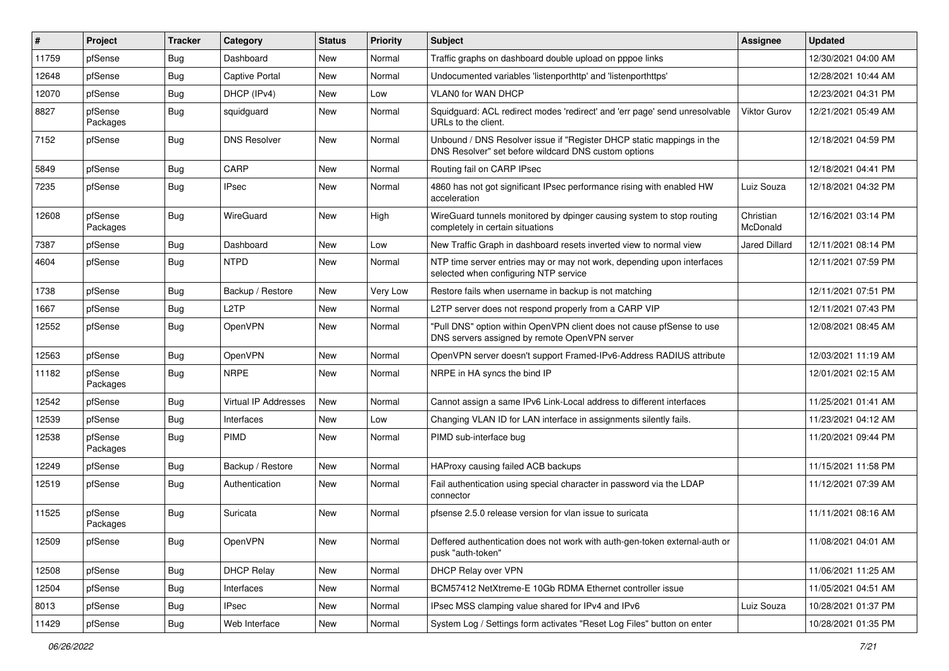| #     | Project             | <b>Tracker</b> | Category                    | <b>Status</b> | <b>Priority</b> | <b>Subject</b>                                                                                                                | Assignee              | <b>Updated</b>      |
|-------|---------------------|----------------|-----------------------------|---------------|-----------------|-------------------------------------------------------------------------------------------------------------------------------|-----------------------|---------------------|
| 11759 | pfSense             | Bug            | Dashboard                   | New           | Normal          | Traffic graphs on dashboard double upload on pppoe links                                                                      |                       | 12/30/2021 04:00 AM |
| 12648 | pfSense             | Bug            | Captive Portal              | New           | Normal          | Undocumented variables 'listenporthttp' and 'listenporthttps'                                                                 |                       | 12/28/2021 10:44 AM |
| 12070 | pfSense             | Bug            | DHCP (IPv4)                 | New           | Low             | VLAN0 for WAN DHCP                                                                                                            |                       | 12/23/2021 04:31 PM |
| 8827  | pfSense<br>Packages | Bug            | squidguard                  | New           | Normal          | Squidguard: ACL redirect modes 'redirect' and 'err page' send unresolvable<br>URLs to the client.                             | <b>Viktor Gurov</b>   | 12/21/2021 05:49 AM |
| 7152  | pfSense             | Bug            | <b>DNS Resolver</b>         | <b>New</b>    | Normal          | Unbound / DNS Resolver issue if "Register DHCP static mappings in the<br>DNS Resolver" set before wildcard DNS custom options |                       | 12/18/2021 04:59 PM |
| 5849  | pfSense             | Bug            | CARP                        | <b>New</b>    | Normal          | Routing fail on CARP IPsec                                                                                                    |                       | 12/18/2021 04:41 PM |
| 7235  | pfSense             | Bug            | <b>IPsec</b>                | New           | Normal          | 4860 has not got significant IPsec performance rising with enabled HW<br>acceleration                                         | Luiz Souza            | 12/18/2021 04:32 PM |
| 12608 | pfSense<br>Packages | <b>Bug</b>     | WireGuard                   | New           | High            | WireGuard tunnels monitored by dpinger causing system to stop routing<br>completely in certain situations                     | Christian<br>McDonald | 12/16/2021 03:14 PM |
| 7387  | pfSense             | Bug            | Dashboard                   | New           | Low             | New Traffic Graph in dashboard resets inverted view to normal view                                                            | <b>Jared Dillard</b>  | 12/11/2021 08:14 PM |
| 4604  | pfSense             | Bug            | <b>NTPD</b>                 | New           | Normal          | NTP time server entries may or may not work, depending upon interfaces<br>selected when configuring NTP service               |                       | 12/11/2021 07:59 PM |
| 1738  | pfSense             | <b>Bug</b>     | Backup / Restore            | <b>New</b>    | Very Low        | Restore fails when username in backup is not matching                                                                         |                       | 12/11/2021 07:51 PM |
| 1667  | pfSense             | Bug            | L <sub>2</sub> TP           | New           | Normal          | L2TP server does not respond properly from a CARP VIP                                                                         |                       | 12/11/2021 07:43 PM |
| 12552 | pfSense             | <b>Bug</b>     | <b>OpenVPN</b>              | New           | Normal          | "Pull DNS" option within OpenVPN client does not cause pfSense to use<br>DNS servers assigned by remote OpenVPN server        |                       | 12/08/2021 08:45 AM |
| 12563 | pfSense             | Bug            | <b>OpenVPN</b>              | New           | Normal          | OpenVPN server doesn't support Framed-IPv6-Address RADIUS attribute                                                           |                       | 12/03/2021 11:19 AM |
| 11182 | pfSense<br>Packages | Bug            | <b>NRPE</b>                 | New           | Normal          | NRPE in HA syncs the bind IP                                                                                                  |                       | 12/01/2021 02:15 AM |
| 12542 | pfSense             | Bug            | <b>Virtual IP Addresses</b> | <b>New</b>    | Normal          | Cannot assign a same IPv6 Link-Local address to different interfaces                                                          |                       | 11/25/2021 01:41 AM |
| 12539 | pfSense             | Bug            | Interfaces                  | <b>New</b>    | Low             | Changing VLAN ID for LAN interface in assignments silently fails.                                                             |                       | 11/23/2021 04:12 AM |
| 12538 | pfSense<br>Packages | Bug            | <b>PIMD</b>                 | New           | Normal          | PIMD sub-interface bug                                                                                                        |                       | 11/20/2021 09:44 PM |
| 12249 | pfSense             | Bug            | Backup / Restore            | <b>New</b>    | Normal          | HAProxy causing failed ACB backups                                                                                            |                       | 11/15/2021 11:58 PM |
| 12519 | pfSense             | Bug            | Authentication              | New           | Normal          | Fail authentication using special character in password via the LDAP<br>connector                                             |                       | 11/12/2021 07:39 AM |
| 11525 | pfSense<br>Packages | Bug            | Suricata                    | New           | Normal          | pfsense 2.5.0 release version for vlan issue to suricata                                                                      |                       | 11/11/2021 08:16 AM |
| 12509 | pfSense             | <b>Bug</b>     | OpenVPN                     | New           | Normal          | Deffered authentication does not work with auth-gen-token external-auth or<br>pusk "auth-token"                               |                       | 11/08/2021 04:01 AM |
| 12508 | pfSense             | <b>Bug</b>     | <b>DHCP Relay</b>           | New           | Normal          | DHCP Relay over VPN                                                                                                           |                       | 11/06/2021 11:25 AM |
| 12504 | pfSense             | Bug            | Interfaces                  | New           | Normal          | BCM57412 NetXtreme-E 10Gb RDMA Ethernet controller issue                                                                      |                       | 11/05/2021 04:51 AM |
| 8013  | pfSense             | <b>Bug</b>     | <b>IPsec</b>                | New           | Normal          | IPsec MSS clamping value shared for IPv4 and IPv6                                                                             | Luiz Souza            | 10/28/2021 01:37 PM |
| 11429 | pfSense             | <b>Bug</b>     | Web Interface               | New           | Normal          | System Log / Settings form activates "Reset Log Files" button on enter                                                        |                       | 10/28/2021 01:35 PM |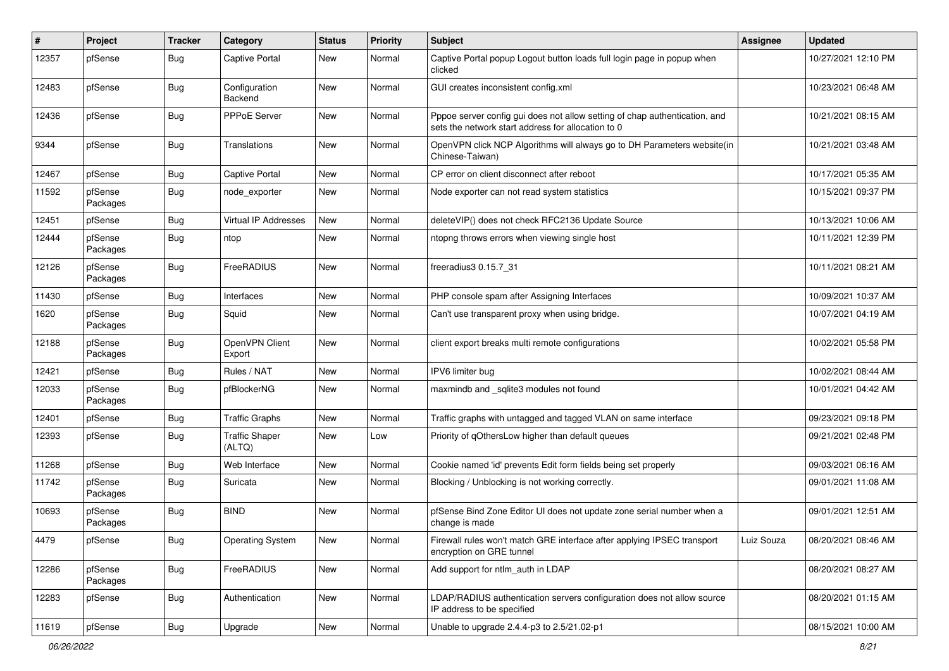| #     | Project             | <b>Tracker</b> | Category                        | <b>Status</b> | <b>Priority</b> | Subject                                                                                                                          | Assignee   | <b>Updated</b>      |
|-------|---------------------|----------------|---------------------------------|---------------|-----------------|----------------------------------------------------------------------------------------------------------------------------------|------------|---------------------|
| 12357 | pfSense             | <b>Bug</b>     | Captive Portal                  | New           | Normal          | Captive Portal popup Logout button loads full login page in popup when<br>clicked                                                |            | 10/27/2021 12:10 PM |
| 12483 | pfSense             | <b>Bug</b>     | Configuration<br>Backend        | New           | Normal          | GUI creates inconsistent config.xml                                                                                              |            | 10/23/2021 06:48 AM |
| 12436 | pfSense             | <b>Bug</b>     | PPPoE Server                    | New           | Normal          | Pppoe server config gui does not allow setting of chap authentication, and<br>sets the network start address for allocation to 0 |            | 10/21/2021 08:15 AM |
| 9344  | pfSense             | <b>Bug</b>     | Translations                    | New           | Normal          | OpenVPN click NCP Algorithms will always go to DH Parameters website(in<br>Chinese-Taiwan)                                       |            | 10/21/2021 03:48 AM |
| 12467 | pfSense             | <b>Bug</b>     | <b>Captive Portal</b>           | New           | Normal          | CP error on client disconnect after reboot                                                                                       |            | 10/17/2021 05:35 AM |
| 11592 | pfSense<br>Packages | <b>Bug</b>     | node_exporter                   | New           | Normal          | Node exporter can not read system statistics                                                                                     |            | 10/15/2021 09:37 PM |
| 12451 | pfSense             | <b>Bug</b>     | <b>Virtual IP Addresses</b>     | New           | Normal          | deleteVIP() does not check RFC2136 Update Source                                                                                 |            | 10/13/2021 10:06 AM |
| 12444 | pfSense<br>Packages | <b>Bug</b>     | ntop                            | New           | Normal          | ntopng throws errors when viewing single host                                                                                    |            | 10/11/2021 12:39 PM |
| 12126 | pfSense<br>Packages | <b>Bug</b>     | FreeRADIUS                      | New           | Normal          | freeradius3 0.15.7 31                                                                                                            |            | 10/11/2021 08:21 AM |
| 11430 | pfSense             | <b>Bug</b>     | Interfaces                      | <b>New</b>    | Normal          | PHP console spam after Assigning Interfaces                                                                                      |            | 10/09/2021 10:37 AM |
| 1620  | pfSense<br>Packages | <b>Bug</b>     | Squid                           | New           | Normal          | Can't use transparent proxy when using bridge.                                                                                   |            | 10/07/2021 04:19 AM |
| 12188 | pfSense<br>Packages | <b>Bug</b>     | OpenVPN Client<br>Export        | New           | Normal          | client export breaks multi remote configurations                                                                                 |            | 10/02/2021 05:58 PM |
| 12421 | pfSense             | Bug            | Rules / NAT                     | New           | Normal          | IPV6 limiter bug                                                                                                                 |            | 10/02/2021 08:44 AM |
| 12033 | pfSense<br>Packages | <b>Bug</b>     | pfBlockerNG                     | New           | Normal          | maxmindb and _sqlite3 modules not found                                                                                          |            | 10/01/2021 04:42 AM |
| 12401 | pfSense             | <b>Bug</b>     | <b>Traffic Graphs</b>           | New           | Normal          | Traffic graphs with untagged and tagged VLAN on same interface                                                                   |            | 09/23/2021 09:18 PM |
| 12393 | pfSense             | Bug            | <b>Traffic Shaper</b><br>(ALTQ) | New           | Low             | Priority of gOthersLow higher than default queues                                                                                |            | 09/21/2021 02:48 PM |
| 11268 | pfSense             | <b>Bug</b>     | Web Interface                   | New           | Normal          | Cookie named 'id' prevents Edit form fields being set properly                                                                   |            | 09/03/2021 06:16 AM |
| 11742 | pfSense<br>Packages | <b>Bug</b>     | Suricata                        | New           | Normal          | Blocking / Unblocking is not working correctly.                                                                                  |            | 09/01/2021 11:08 AM |
| 10693 | pfSense<br>Packages | <b>Bug</b>     | <b>BIND</b>                     | New           | Normal          | pfSense Bind Zone Editor UI does not update zone serial number when a<br>change is made                                          |            | 09/01/2021 12:51 AM |
| 4479  | pfSense             | <b>Bug</b>     | <b>Operating System</b>         | New           | Normal          | Firewall rules won't match GRE interface after applying IPSEC transport<br>encryption on GRE tunnel                              | Luiz Souza | 08/20/2021 08:46 AM |
| 12286 | pfSense<br>Packages | <b>Bug</b>     | FreeRADIUS                      | New           | Normal          | Add support for ntlm_auth in LDAP                                                                                                |            | 08/20/2021 08:27 AM |
| 12283 | pfSense             | <b>Bug</b>     | Authentication                  | New           | Normal          | LDAP/RADIUS authentication servers configuration does not allow source<br>IP address to be specified                             |            | 08/20/2021 01:15 AM |
| 11619 | pfSense             | Bug            | Upgrade                         | New           | Normal          | Unable to upgrade 2.4.4-p3 to 2.5/21.02-p1                                                                                       |            | 08/15/2021 10:00 AM |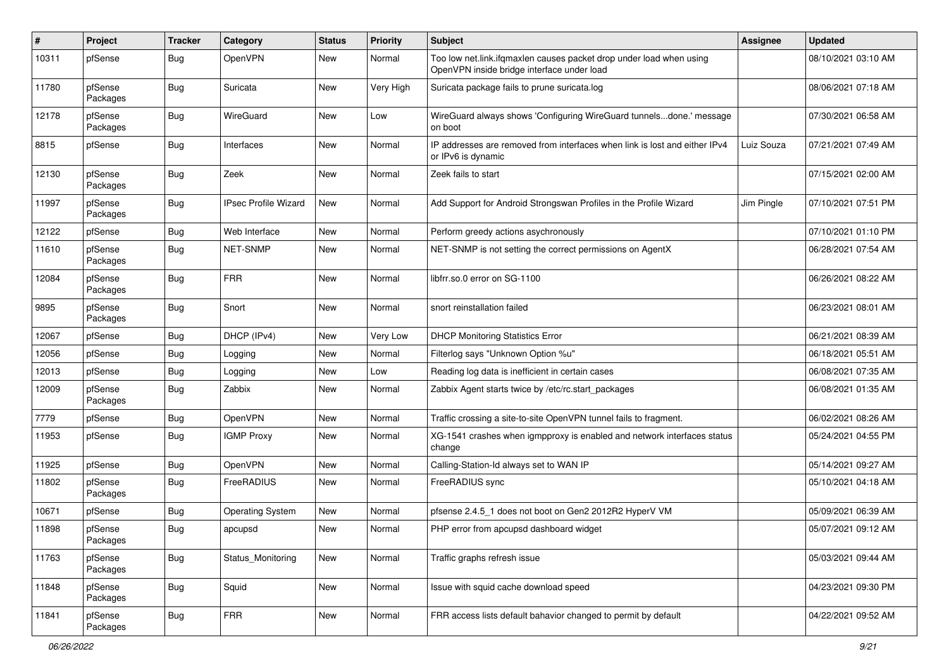| #     | Project             | <b>Tracker</b> | Category                    | <b>Status</b> | <b>Priority</b> | <b>Subject</b>                                                                                                    | Assignee   | <b>Updated</b>      |
|-------|---------------------|----------------|-----------------------------|---------------|-----------------|-------------------------------------------------------------------------------------------------------------------|------------|---------------------|
| 10311 | pfSense             | <b>Bug</b>     | OpenVPN                     | New           | Normal          | Too low net.link.ifqmaxlen causes packet drop under load when using<br>OpenVPN inside bridge interface under load |            | 08/10/2021 03:10 AM |
| 11780 | pfSense<br>Packages | <b>Bug</b>     | Suricata                    | New           | Very High       | Suricata package fails to prune suricata.log                                                                      |            | 08/06/2021 07:18 AM |
| 12178 | pfSense<br>Packages | <b>Bug</b>     | WireGuard                   | New           | Low             | WireGuard always shows 'Configuring WireGuard tunnelsdone.' message<br>on boot                                    |            | 07/30/2021 06:58 AM |
| 8815  | pfSense             | <b>Bug</b>     | Interfaces                  | New           | Normal          | IP addresses are removed from interfaces when link is lost and either IPv4<br>or IPv6 is dynamic                  | Luiz Souza | 07/21/2021 07:49 AM |
| 12130 | pfSense<br>Packages | <b>Bug</b>     | Zeek                        | New           | Normal          | Zeek fails to start                                                                                               |            | 07/15/2021 02:00 AM |
| 11997 | pfSense<br>Packages | <b>Bug</b>     | <b>IPsec Profile Wizard</b> | New           | Normal          | Add Support for Android Strongswan Profiles in the Profile Wizard                                                 | Jim Pingle | 07/10/2021 07:51 PM |
| 12122 | pfSense             | <b>Bug</b>     | Web Interface               | New           | Normal          | Perform greedy actions asychronously                                                                              |            | 07/10/2021 01:10 PM |
| 11610 | pfSense<br>Packages | <b>Bug</b>     | <b>NET-SNMP</b>             | New           | Normal          | NET-SNMP is not setting the correct permissions on AgentX                                                         |            | 06/28/2021 07:54 AM |
| 12084 | pfSense<br>Packages | <b>Bug</b>     | <b>FRR</b>                  | New           | Normal          | libfrr.so.0 error on SG-1100                                                                                      |            | 06/26/2021 08:22 AM |
| 9895  | pfSense<br>Packages | <b>Bug</b>     | Snort                       | New           | Normal          | snort reinstallation failed                                                                                       |            | 06/23/2021 08:01 AM |
| 12067 | pfSense             | Bug            | DHCP (IPv4)                 | New           | Very Low        | <b>DHCP Monitoring Statistics Error</b>                                                                           |            | 06/21/2021 08:39 AM |
| 12056 | pfSense             | <b>Bug</b>     | Logging                     | New           | Normal          | Filterlog says "Unknown Option %u"                                                                                |            | 06/18/2021 05:51 AM |
| 12013 | pfSense             | <b>Bug</b>     | Logging                     | New           | Low             | Reading log data is inefficient in certain cases                                                                  |            | 06/08/2021 07:35 AM |
| 12009 | pfSense<br>Packages | <b>Bug</b>     | Zabbix                      | New           | Normal          | Zabbix Agent starts twice by /etc/rc.start_packages                                                               |            | 06/08/2021 01:35 AM |
| 7779  | pfSense             | <b>Bug</b>     | OpenVPN                     | New           | Normal          | Traffic crossing a site-to-site OpenVPN tunnel fails to fragment.                                                 |            | 06/02/2021 08:26 AM |
| 11953 | pfSense             | Bug            | <b>IGMP Proxy</b>           | New           | Normal          | XG-1541 crashes when igmpproxy is enabled and network interfaces status<br>change                                 |            | 05/24/2021 04:55 PM |
| 11925 | pfSense             | <b>Bug</b>     | OpenVPN                     | New           | Normal          | Calling-Station-Id always set to WAN IP                                                                           |            | 05/14/2021 09:27 AM |
| 11802 | pfSense<br>Packages | Bug            | FreeRADIUS                  | New           | Normal          | FreeRADIUS sync                                                                                                   |            | 05/10/2021 04:18 AM |
| 10671 | pfSense             | <b>Bug</b>     | <b>Operating System</b>     | New           | Normal          | pfsense 2.4.5_1 does not boot on Gen2 2012R2 HyperV VM                                                            |            | 05/09/2021 06:39 AM |
| 11898 | pfSense<br>Packages | <b>Bug</b>     | apcupsd                     | New           | Normal          | PHP error from apcupsd dashboard widget                                                                           |            | 05/07/2021 09:12 AM |
| 11763 | pfSense<br>Packages | <b>Bug</b>     | Status Monitoring           | New           | Normal          | Traffic graphs refresh issue                                                                                      |            | 05/03/2021 09:44 AM |
| 11848 | pfSense<br>Packages | Bug            | Squid                       | New           | Normal          | Issue with squid cache download speed                                                                             |            | 04/23/2021 09:30 PM |
| 11841 | pfSense<br>Packages | Bug            | <b>FRR</b>                  | New           | Normal          | FRR access lists default bahavior changed to permit by default                                                    |            | 04/22/2021 09:52 AM |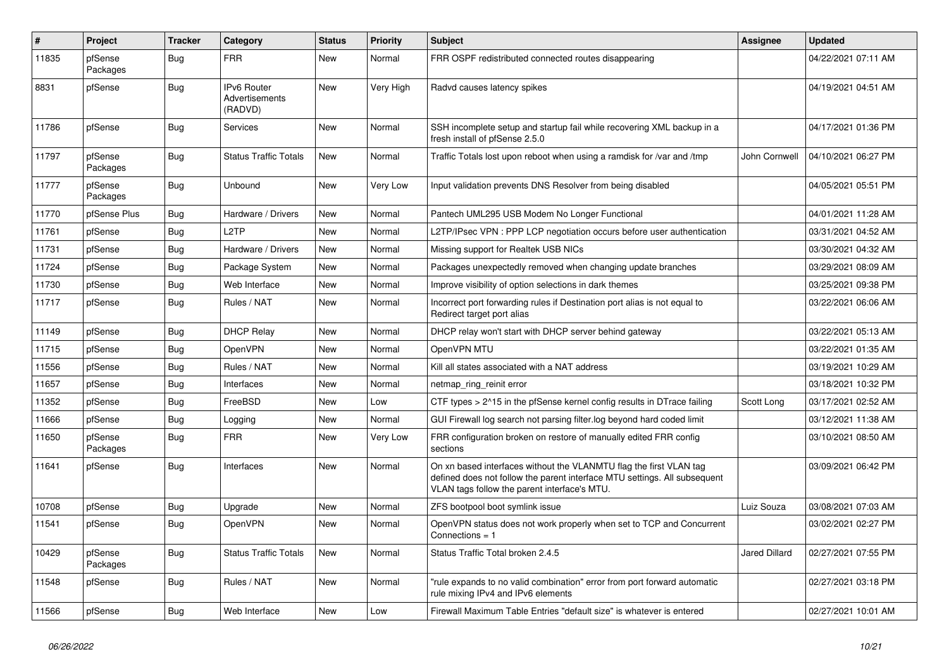| $\pmb{\#}$ | Project             | <b>Tracker</b> | Category                                        | <b>Status</b> | <b>Priority</b> | <b>Subject</b>                                                                                                                                                                                  | Assignee      | <b>Updated</b>      |
|------------|---------------------|----------------|-------------------------------------------------|---------------|-----------------|-------------------------------------------------------------------------------------------------------------------------------------------------------------------------------------------------|---------------|---------------------|
| 11835      | pfSense<br>Packages | Bug            | <b>FRR</b>                                      | New           | Normal          | FRR OSPF redistributed connected routes disappearing                                                                                                                                            |               | 04/22/2021 07:11 AM |
| 8831       | pfSense             | <b>Bug</b>     | <b>IPv6 Router</b><br>Advertisements<br>(RADVD) | New           | Very High       | Radvd causes latency spikes                                                                                                                                                                     |               | 04/19/2021 04:51 AM |
| 11786      | pfSense             | Bug            | Services                                        | New           | Normal          | SSH incomplete setup and startup fail while recovering XML backup in a<br>fresh install of pfSense 2.5.0                                                                                        |               | 04/17/2021 01:36 PM |
| 11797      | pfSense<br>Packages | <b>Bug</b>     | <b>Status Traffic Totals</b>                    | New           | Normal          | Traffic Totals lost upon reboot when using a ramdisk for /var and /tmp                                                                                                                          | John Cornwell | 04/10/2021 06:27 PM |
| 11777      | pfSense<br>Packages | <b>Bug</b>     | Unbound                                         | New           | Very Low        | Input validation prevents DNS Resolver from being disabled                                                                                                                                      |               | 04/05/2021 05:51 PM |
| 11770      | pfSense Plus        | <b>Bug</b>     | Hardware / Drivers                              | New           | Normal          | Pantech UML295 USB Modem No Longer Functional                                                                                                                                                   |               | 04/01/2021 11:28 AM |
| 11761      | pfSense             | <b>Bug</b>     | L2TP                                            | <b>New</b>    | Normal          | L2TP/IPsec VPN : PPP LCP negotiation occurs before user authentication                                                                                                                          |               | 03/31/2021 04:52 AM |
| 11731      | pfSense             | Bug            | Hardware / Drivers                              | New           | Normal          | Missing support for Realtek USB NICs                                                                                                                                                            |               | 03/30/2021 04:32 AM |
| 11724      | pfSense             | Bug            | Package System                                  | New           | Normal          | Packages unexpectedly removed when changing update branches                                                                                                                                     |               | 03/29/2021 08:09 AM |
| 11730      | pfSense             | Bug            | Web Interface                                   | New           | Normal          | Improve visibility of option selections in dark themes                                                                                                                                          |               | 03/25/2021 09:38 PM |
| 11717      | pfSense             | Bug            | Rules / NAT                                     | New           | Normal          | Incorrect port forwarding rules if Destination port alias is not equal to<br>Redirect target port alias                                                                                         |               | 03/22/2021 06:06 AM |
| 11149      | pfSense             | Bug            | <b>DHCP Relay</b>                               | New           | Normal          | DHCP relay won't start with DHCP server behind gateway                                                                                                                                          |               | 03/22/2021 05:13 AM |
| 11715      | pfSense             | Bug            | <b>OpenVPN</b>                                  | New           | Normal          | OpenVPN MTU                                                                                                                                                                                     |               | 03/22/2021 01:35 AM |
| 11556      | pfSense             | <b>Bug</b>     | Rules / NAT                                     | New           | Normal          | Kill all states associated with a NAT address                                                                                                                                                   |               | 03/19/2021 10:29 AM |
| 11657      | pfSense             | <b>Bug</b>     | Interfaces                                      | New           | Normal          | netmap ring reinit error                                                                                                                                                                        |               | 03/18/2021 10:32 PM |
| 11352      | pfSense             | <b>Bug</b>     | FreeBSD                                         | New           | Low             | CTF types > 2^15 in the pfSense kernel config results in DTrace failing                                                                                                                         | Scott Long    | 03/17/2021 02:52 AM |
| 11666      | pfSense             | <b>Bug</b>     | Logging                                         | New           | Normal          | GUI Firewall log search not parsing filter log beyond hard coded limit                                                                                                                          |               | 03/12/2021 11:38 AM |
| 11650      | pfSense<br>Packages | <b>Bug</b>     | <b>FRR</b>                                      | New           | Very Low        | FRR configuration broken on restore of manually edited FRR config<br>sections                                                                                                                   |               | 03/10/2021 08:50 AM |
| 11641      | pfSense             | Bug            | Interfaces                                      | New           | Normal          | On xn based interfaces without the VLANMTU flag the first VLAN tag<br>defined does not follow the parent interface MTU settings. All subsequent<br>VLAN tags follow the parent interface's MTU. |               | 03/09/2021 06:42 PM |
| 10708      | pfSense             | <b>Bug</b>     | Upgrade                                         | <b>New</b>    | Normal          | ZFS bootpool boot symlink issue                                                                                                                                                                 | Luiz Souza    | 03/08/2021 07:03 AM |
| 11541      | pfSense             | Bug            | <b>OpenVPN</b>                                  | New           | Normal          | OpenVPN status does not work properly when set to TCP and Concurrent<br>Connections = $1$                                                                                                       |               | 03/02/2021 02:27 PM |
| 10429      | pfSense<br>Packages | Bug            | <b>Status Traffic Totals</b>                    | New           | Normal          | Status Traffic Total broken 2.4.5                                                                                                                                                               | Jared Dillard | 02/27/2021 07:55 PM |
| 11548      | pfSense             | <b>Bug</b>     | Rules / NAT                                     | New           | Normal          | 'rule expands to no valid combination" error from port forward automatic<br>rule mixing IPv4 and IPv6 elements                                                                                  |               | 02/27/2021 03:18 PM |
| 11566      | pfSense             | Bug            | Web Interface                                   | New           | Low             | Firewall Maximum Table Entries "default size" is whatever is entered                                                                                                                            |               | 02/27/2021 10:01 AM |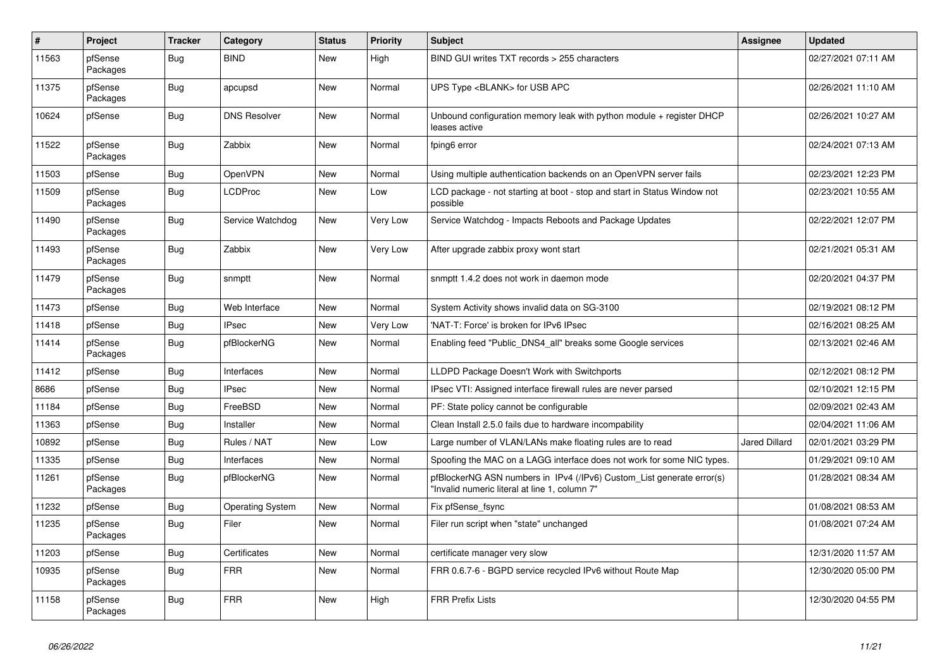| $\sharp$ | <b>Project</b>      | <b>Tracker</b> | Category                | <b>Status</b> | <b>Priority</b> | <b>Subject</b>                                                                                                         | Assignee             | <b>Updated</b>      |
|----------|---------------------|----------------|-------------------------|---------------|-----------------|------------------------------------------------------------------------------------------------------------------------|----------------------|---------------------|
| 11563    | pfSense<br>Packages | Bug            | <b>BIND</b>             | New           | High            | BIND GUI writes TXT records > 255 characters                                                                           |                      | 02/27/2021 07:11 AM |
| 11375    | pfSense<br>Packages | <b>Bug</b>     | apcupsd                 | <b>New</b>    | Normal          | UPS Type <blank> for USB APC</blank>                                                                                   |                      | 02/26/2021 11:10 AM |
| 10624    | pfSense             | <b>Bug</b>     | <b>DNS Resolver</b>     | <b>New</b>    | Normal          | Unbound configuration memory leak with python module $+$ register DHCP<br>leases active                                |                      | 02/26/2021 10:27 AM |
| 11522    | pfSense<br>Packages | Bug            | Zabbix                  | New           | Normal          | fping6 error                                                                                                           |                      | 02/24/2021 07:13 AM |
| 11503    | pfSense             | Bug            | OpenVPN                 | <b>New</b>    | Normal          | Using multiple authentication backends on an OpenVPN server fails                                                      |                      | 02/23/2021 12:23 PM |
| 11509    | pfSense<br>Packages | Bug            | <b>LCDProc</b>          | New           | Low             | LCD package - not starting at boot - stop and start in Status Window not<br>possible                                   |                      | 02/23/2021 10:55 AM |
| 11490    | pfSense<br>Packages | <b>Bug</b>     | Service Watchdog        | New           | Very Low        | Service Watchdog - Impacts Reboots and Package Updates                                                                 |                      | 02/22/2021 12:07 PM |
| 11493    | pfSense<br>Packages | <b>Bug</b>     | Zabbix                  | New           | Very Low        | After upgrade zabbix proxy wont start                                                                                  |                      | 02/21/2021 05:31 AM |
| 11479    | pfSense<br>Packages | Bug            | snmptt                  | New           | Normal          | snmptt 1.4.2 does not work in daemon mode                                                                              |                      | 02/20/2021 04:37 PM |
| 11473    | pfSense             | Bug            | Web Interface           | <b>New</b>    | Normal          | System Activity shows invalid data on SG-3100                                                                          |                      | 02/19/2021 08:12 PM |
| 11418    | pfSense             | Bug            | <b>IPsec</b>            | New           | Very Low        | 'NAT-T: Force' is broken for IPv6 IPsec                                                                                |                      | 02/16/2021 08:25 AM |
| 11414    | pfSense<br>Packages | Bug            | pfBlockerNG             | New           | Normal          | Enabling feed "Public DNS4 all" breaks some Google services                                                            |                      | 02/13/2021 02:46 AM |
| 11412    | pfSense             | <b>Bug</b>     | Interfaces              | New           | Normal          | LLDPD Package Doesn't Work with Switchports                                                                            |                      | 02/12/2021 08:12 PM |
| 8686     | pfSense             | <b>Bug</b>     | <b>IPsec</b>            | <b>New</b>    | Normal          | IPsec VTI: Assigned interface firewall rules are never parsed                                                          |                      | 02/10/2021 12:15 PM |
| 11184    | pfSense             | <b>Bug</b>     | FreeBSD                 | <b>New</b>    | Normal          | PF: State policy cannot be configurable                                                                                |                      | 02/09/2021 02:43 AM |
| 11363    | pfSense             | <b>Bug</b>     | Installer               | <b>New</b>    | Normal          | Clean Install 2.5.0 fails due to hardware incompability                                                                |                      | 02/04/2021 11:06 AM |
| 10892    | pfSense             | Bug            | Rules / NAT             | New           | Low             | Large number of VLAN/LANs make floating rules are to read                                                              | <b>Jared Dillard</b> | 02/01/2021 03:29 PM |
| 11335    | pfSense             | Bug            | Interfaces              | New           | Normal          | Spoofing the MAC on a LAGG interface does not work for some NIC types.                                                 |                      | 01/29/2021 09:10 AM |
| 11261    | pfSense<br>Packages | <b>Bug</b>     | pfBlockerNG             | New           | Normal          | pfBlockerNG ASN numbers in IPv4 (/IPv6) Custom List generate error(s)<br>"Invalid numeric literal at line 1, column 7" |                      | 01/28/2021 08:34 AM |
| 11232    | pfSense             | <b>Bug</b>     | <b>Operating System</b> | New           | Normal          | Fix pfSense fsync                                                                                                      |                      | 01/08/2021 08:53 AM |
| 11235    | pfSense<br>Packages | <b>Bug</b>     | Filer                   | New           | Normal          | Filer run script when "state" unchanged                                                                                |                      | 01/08/2021 07:24 AM |
| 11203    | pfSense             | <b>Bug</b>     | Certificates            | <b>New</b>    | Normal          | certificate manager very slow                                                                                          |                      | 12/31/2020 11:57 AM |
| 10935    | pfSense<br>Packages | <b>Bug</b>     | <b>FRR</b>              | New           | Normal          | FRR 0.6.7-6 - BGPD service recycled IPv6 without Route Map                                                             |                      | 12/30/2020 05:00 PM |
| 11158    | pfSense<br>Packages | <b>Bug</b>     | <b>FRR</b>              | <b>New</b>    | High            | <b>FRR Prefix Lists</b>                                                                                                |                      | 12/30/2020 04:55 PM |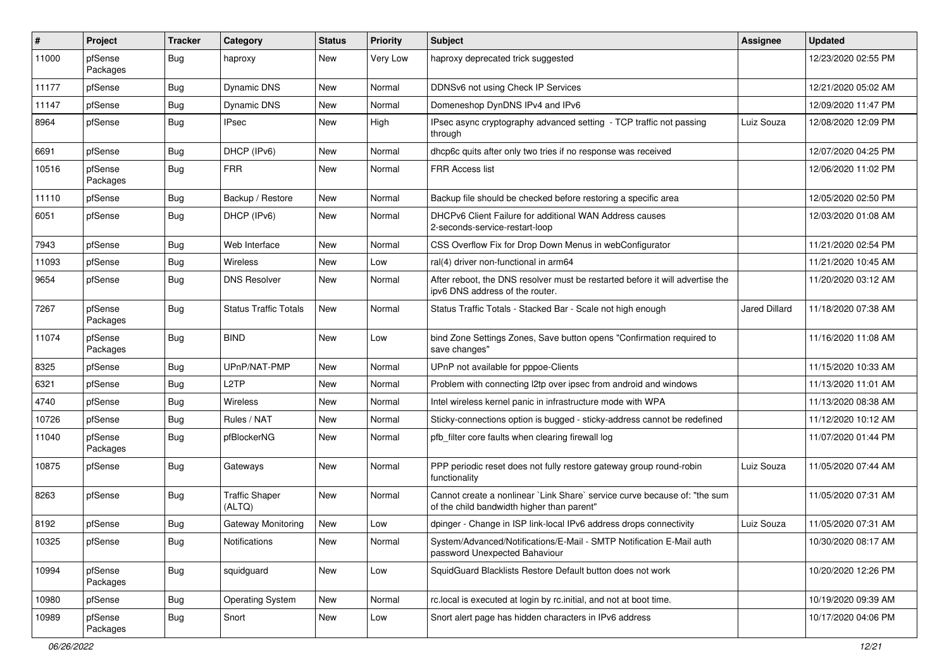| #     | Project             | Tracker    | Category                        | <b>Status</b> | <b>Priority</b> | <b>Subject</b>                                                                                                          | Assignee      | <b>Updated</b>      |
|-------|---------------------|------------|---------------------------------|---------------|-----------------|-------------------------------------------------------------------------------------------------------------------------|---------------|---------------------|
| 11000 | pfSense<br>Packages | <b>Bug</b> | haproxy                         | New           | Very Low        | haproxy deprecated trick suggested                                                                                      |               | 12/23/2020 02:55 PM |
| 11177 | pfSense             | <b>Bug</b> | Dynamic DNS                     | New           | Normal          | DDNSv6 not using Check IP Services                                                                                      |               | 12/21/2020 05:02 AM |
| 11147 | pfSense             | Bug        | Dynamic DNS                     | New           | Normal          | Domeneshop DynDNS IPv4 and IPv6                                                                                         |               | 12/09/2020 11:47 PM |
| 8964  | pfSense             | <b>Bug</b> | <b>IPsec</b>                    | New           | High            | IPsec async cryptography advanced setting - TCP traffic not passing<br>through                                          | Luiz Souza    | 12/08/2020 12:09 PM |
| 6691  | pfSense             | <b>Bug</b> | DHCP (IPv6)                     | New           | Normal          | dhcp6c quits after only two tries if no response was received                                                           |               | 12/07/2020 04:25 PM |
| 10516 | pfSense<br>Packages | <b>Bug</b> | <b>FRR</b>                      | New           | Normal          | FRR Access list                                                                                                         |               | 12/06/2020 11:02 PM |
| 11110 | pfSense             | <b>Bug</b> | Backup / Restore                | New           | Normal          | Backup file should be checked before restoring a specific area                                                          |               | 12/05/2020 02:50 PM |
| 6051  | pfSense             | Bug        | DHCP (IPv6)                     | New           | Normal          | DHCPv6 Client Failure for additional WAN Address causes<br>2-seconds-service-restart-loop                               |               | 12/03/2020 01:08 AM |
| 7943  | pfSense             | <b>Bug</b> | Web Interface                   | <b>New</b>    | Normal          | CSS Overflow Fix for Drop Down Menus in webConfigurator                                                                 |               | 11/21/2020 02:54 PM |
| 11093 | pfSense             | <b>Bug</b> | Wireless                        | New           | Low             | ral(4) driver non-functional in arm64                                                                                   |               | 11/21/2020 10:45 AM |
| 9654  | pfSense             | <b>Bug</b> | <b>DNS Resolver</b>             | New           | Normal          | After reboot, the DNS resolver must be restarted before it will advertise the<br>ipv6 DNS address of the router.        |               | 11/20/2020 03:12 AM |
| 7267  | pfSense<br>Packages | <b>Bug</b> | <b>Status Traffic Totals</b>    | New           | Normal          | Status Traffic Totals - Stacked Bar - Scale not high enough                                                             | Jared Dillard | 11/18/2020 07:38 AM |
| 11074 | pfSense<br>Packages | <b>Bug</b> | <b>BIND</b>                     | New           | Low             | bind Zone Settings Zones, Save button opens "Confirmation required to<br>save changes"                                  |               | 11/16/2020 11:08 AM |
| 8325  | pfSense             | <b>Bug</b> | UPnP/NAT-PMP                    | New           | Normal          | UPnP not available for pppoe-Clients                                                                                    |               | 11/15/2020 10:33 AM |
| 6321  | pfSense             | <b>Bug</b> | L2TP                            | New           | Normal          | Problem with connecting I2tp over ipsec from android and windows                                                        |               | 11/13/2020 11:01 AM |
| 4740  | pfSense             | <b>Bug</b> | Wireless                        | New           | Normal          | Intel wireless kernel panic in infrastructure mode with WPA                                                             |               | 11/13/2020 08:38 AM |
| 10726 | pfSense             | <b>Bug</b> | Rules / NAT                     | New           | Normal          | Sticky-connections option is bugged - sticky-address cannot be redefined                                                |               | 11/12/2020 10:12 AM |
| 11040 | pfSense<br>Packages | <b>Bug</b> | pfBlockerNG                     | New           | Normal          | pfb_filter core faults when clearing firewall log                                                                       |               | 11/07/2020 01:44 PM |
| 10875 | pfSense             | Bug        | Gateways                        | New           | Normal          | PPP periodic reset does not fully restore gateway group round-robin<br>functionality                                    | Luiz Souza    | 11/05/2020 07:44 AM |
| 8263  | pfSense             | Bug        | <b>Traffic Shaper</b><br>(ALTQ) | New           | Normal          | Cannot create a nonlinear `Link Share` service curve because of: "the sum<br>of the child bandwidth higher than parent" |               | 11/05/2020 07:31 AM |
| 8192  | pfSense             | <b>Bug</b> | Gateway Monitoring              | New           | Low             | dpinger - Change in ISP link-local IPv6 address drops connectivity                                                      | Luiz Souza    | 11/05/2020 07:31 AM |
| 10325 | pfSense             | <b>Bug</b> | Notifications                   | New           | Normal          | System/Advanced/Notifications/E-Mail - SMTP Notification E-Mail auth<br>password Unexpected Bahaviour                   |               | 10/30/2020 08:17 AM |
| 10994 | pfSense<br>Packages | <b>Bug</b> | squidguard                      | New           | Low             | SquidGuard Blacklists Restore Default button does not work                                                              |               | 10/20/2020 12:26 PM |
| 10980 | pfSense             | <b>Bug</b> | <b>Operating System</b>         | New           | Normal          | rc.local is executed at login by rc.initial, and not at boot time.                                                      |               | 10/19/2020 09:39 AM |
| 10989 | pfSense<br>Packages | <b>Bug</b> | Snort                           | New           | Low             | Snort alert page has hidden characters in IPv6 address                                                                  |               | 10/17/2020 04:06 PM |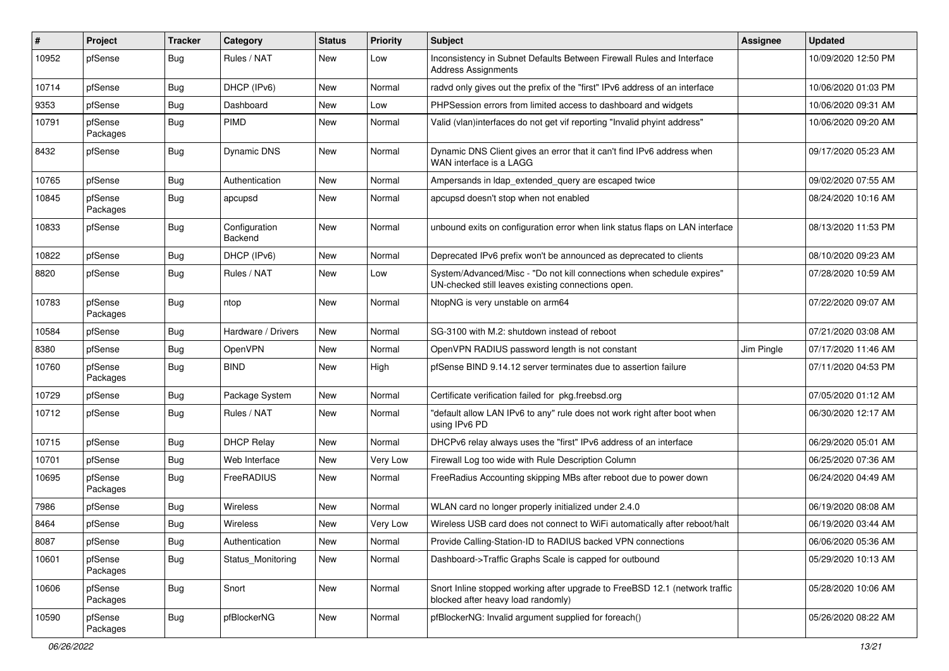| ∦     | Project             | Tracker    | Category                        | <b>Status</b> | <b>Priority</b> | <b>Subject</b>                                                                                                               | <b>Assignee</b> | <b>Updated</b>      |
|-------|---------------------|------------|---------------------------------|---------------|-----------------|------------------------------------------------------------------------------------------------------------------------------|-----------------|---------------------|
| 10952 | pfSense             | <b>Bug</b> | Rules / NAT                     | New           | Low             | Inconsistency in Subnet Defaults Between Firewall Rules and Interface<br><b>Address Assignments</b>                          |                 | 10/09/2020 12:50 PM |
| 10714 | pfSense             | <b>Bug</b> | DHCP (IPv6)                     | New           | Normal          | radvd only gives out the prefix of the "first" IPv6 address of an interface                                                  |                 | 10/06/2020 01:03 PM |
| 9353  | pfSense             | <b>Bug</b> | Dashboard                       | New           | Low             | PHPSession errors from limited access to dashboard and widgets                                                               |                 | 10/06/2020 09:31 AM |
| 10791 | pfSense<br>Packages | <b>Bug</b> | <b>PIMD</b>                     | New           | Normal          | Valid (vlan)interfaces do not get vif reporting "Invalid phyint address"                                                     |                 | 10/06/2020 09:20 AM |
| 8432  | pfSense             | <b>Bug</b> | <b>Dynamic DNS</b>              | New           | Normal          | Dynamic DNS Client gives an error that it can't find IPv6 address when<br>WAN interface is a LAGG                            |                 | 09/17/2020 05:23 AM |
| 10765 | pfSense             | <b>Bug</b> | Authentication                  | New           | Normal          | Ampersands in Idap extended query are escaped twice                                                                          |                 | 09/02/2020 07:55 AM |
| 10845 | pfSense<br>Packages | Bug        | apcupsd                         | New           | Normal          | apcupsd doesn't stop when not enabled                                                                                        |                 | 08/24/2020 10:16 AM |
| 10833 | pfSense             | <b>Bug</b> | Configuration<br><b>Backend</b> | New           | Normal          | unbound exits on configuration error when link status flaps on LAN interface                                                 |                 | 08/13/2020 11:53 PM |
| 10822 | pfSense             | <b>Bug</b> | DHCP (IPv6)                     | New           | Normal          | Deprecated IPv6 prefix won't be announced as deprecated to clients                                                           |                 | 08/10/2020 09:23 AM |
| 8820  | pfSense             | <b>Bug</b> | Rules / NAT                     | New           | Low             | System/Advanced/Misc - "Do not kill connections when schedule expires"<br>UN-checked still leaves existing connections open. |                 | 07/28/2020 10:59 AM |
| 10783 | pfSense<br>Packages | <b>Bug</b> | ntop                            | New           | Normal          | NtopNG is very unstable on arm64                                                                                             |                 | 07/22/2020 09:07 AM |
| 10584 | pfSense             | <b>Bug</b> | Hardware / Drivers              | New           | Normal          | SG-3100 with M.2: shutdown instead of reboot                                                                                 |                 | 07/21/2020 03:08 AM |
| 8380  | pfSense             | <b>Bug</b> | OpenVPN                         | New           | Normal          | OpenVPN RADIUS password length is not constant                                                                               | Jim Pingle      | 07/17/2020 11:46 AM |
| 10760 | pfSense<br>Packages | <b>Bug</b> | <b>BIND</b>                     | New           | High            | pfSense BIND 9.14.12 server terminates due to assertion failure                                                              |                 | 07/11/2020 04:53 PM |
| 10729 | pfSense             | Bug        | Package System                  | New           | Normal          | Certificate verification failed for pkg.freebsd.org                                                                          |                 | 07/05/2020 01:12 AM |
| 10712 | pfSense             | <b>Bug</b> | Rules / NAT                     | New           | Normal          | "default allow LAN IPv6 to any" rule does not work right after boot when<br>using IPv6 PD                                    |                 | 06/30/2020 12:17 AM |
| 10715 | pfSense             | <b>Bug</b> | <b>DHCP Relay</b>               | New           | Normal          | DHCPv6 relay always uses the "first" IPv6 address of an interface                                                            |                 | 06/29/2020 05:01 AM |
| 10701 | pfSense             | <b>Bug</b> | Web Interface                   | <b>New</b>    | Very Low        | Firewall Log too wide with Rule Description Column                                                                           |                 | 06/25/2020 07:36 AM |
| 10695 | pfSense<br>Packages | <b>Bug</b> | FreeRADIUS                      | New           | Normal          | FreeRadius Accounting skipping MBs after reboot due to power down                                                            |                 | 06/24/2020 04:49 AM |
| 7986  | pfSense             | <b>Bug</b> | Wireless                        | New           | Normal          | WLAN card no longer properly initialized under 2.4.0                                                                         |                 | 06/19/2020 08:08 AM |
| 8464  | pfSense             | <b>Bug</b> | Wireless                        | New           | Very Low        | Wireless USB card does not connect to WiFi automatically after reboot/halt                                                   |                 | 06/19/2020 03:44 AM |
| 8087  | pfSense             | <b>Bug</b> | Authentication                  | New           | Normal          | Provide Calling-Station-ID to RADIUS backed VPN connections                                                                  |                 | 06/06/2020 05:36 AM |
| 10601 | pfSense<br>Packages | <b>Bug</b> | Status_Monitoring               | New           | Normal          | Dashboard->Traffic Graphs Scale is capped for outbound                                                                       |                 | 05/29/2020 10:13 AM |
| 10606 | pfSense<br>Packages | Bug        | Snort                           | New           | Normal          | Snort Inline stopped working after upgrade to FreeBSD 12.1 (network traffic<br>blocked after heavy load randomly)            |                 | 05/28/2020 10:06 AM |
| 10590 | pfSense<br>Packages | <b>Bug</b> | pfBlockerNG                     | New           | Normal          | pfBlockerNG: Invalid argument supplied for foreach()                                                                         |                 | 05/26/2020 08:22 AM |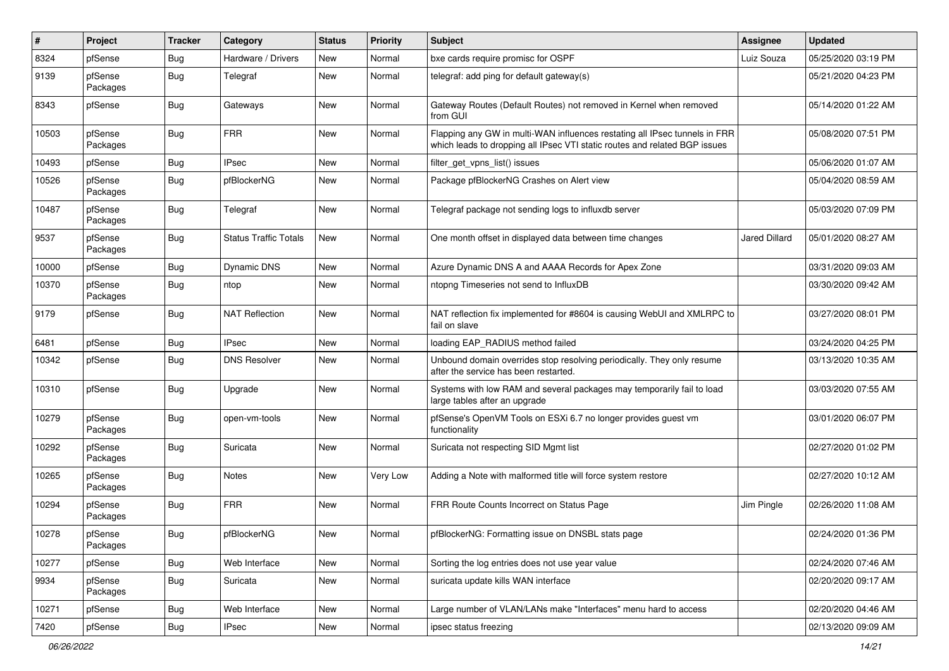| #     | Project             | <b>Tracker</b> | Category                     | <b>Status</b> | <b>Priority</b> | Subject                                                                                                                                                  | Assignee      | <b>Updated</b>      |
|-------|---------------------|----------------|------------------------------|---------------|-----------------|----------------------------------------------------------------------------------------------------------------------------------------------------------|---------------|---------------------|
| 8324  | pfSense             | <b>Bug</b>     | Hardware / Drivers           | New           | Normal          | bxe cards require promisc for OSPF                                                                                                                       | Luiz Souza    | 05/25/2020 03:19 PM |
| 9139  | pfSense<br>Packages | <b>Bug</b>     | Telegraf                     | New           | Normal          | telegraf: add ping for default gateway(s)                                                                                                                |               | 05/21/2020 04:23 PM |
| 8343  | pfSense             | <b>Bug</b>     | Gateways                     | New           | Normal          | Gateway Routes (Default Routes) not removed in Kernel when removed<br>from GUI                                                                           |               | 05/14/2020 01:22 AM |
| 10503 | pfSense<br>Packages | <b>Bug</b>     | <b>FRR</b>                   | New           | Normal          | Flapping any GW in multi-WAN influences restating all IPsec tunnels in FRR<br>which leads to dropping all IPsec VTI static routes and related BGP issues |               | 05/08/2020 07:51 PM |
| 10493 | pfSense             | <b>Bug</b>     | <b>IPsec</b>                 | <b>New</b>    | Normal          | filter_get_vpns_list() issues                                                                                                                            |               | 05/06/2020 01:07 AM |
| 10526 | pfSense<br>Packages | <b>Bug</b>     | pfBlockerNG                  | New           | Normal          | Package pfBlockerNG Crashes on Alert view                                                                                                                |               | 05/04/2020 08:59 AM |
| 10487 | pfSense<br>Packages | <b>Bug</b>     | Telegraf                     | New           | Normal          | Telegraf package not sending logs to influxdb server                                                                                                     |               | 05/03/2020 07:09 PM |
| 9537  | pfSense<br>Packages | <b>Bug</b>     | <b>Status Traffic Totals</b> | New           | Normal          | One month offset in displayed data between time changes                                                                                                  | Jared Dillard | 05/01/2020 08:27 AM |
| 10000 | pfSense             | <b>Bug</b>     | Dynamic DNS                  | New           | Normal          | Azure Dynamic DNS A and AAAA Records for Apex Zone                                                                                                       |               | 03/31/2020 09:03 AM |
| 10370 | pfSense<br>Packages | <b>Bug</b>     | ntop                         | New           | Normal          | ntopng Timeseries not send to InfluxDB                                                                                                                   |               | 03/30/2020 09:42 AM |
| 9179  | pfSense             | <b>Bug</b>     | <b>NAT Reflection</b>        | New           | Normal          | NAT reflection fix implemented for #8604 is causing WebUI and XMLRPC to<br>fail on slave                                                                 |               | 03/27/2020 08:01 PM |
| 6481  | pfSense             | <b>Bug</b>     | <b>IPsec</b>                 | New           | Normal          | loading EAP_RADIUS method failed                                                                                                                         |               | 03/24/2020 04:25 PM |
| 10342 | pfSense             | <b>Bug</b>     | <b>DNS Resolver</b>          | New           | Normal          | Unbound domain overrides stop resolving periodically. They only resume<br>after the service has been restarted.                                          |               | 03/13/2020 10:35 AM |
| 10310 | pfSense             | <b>Bug</b>     | Upgrade                      | New           | Normal          | Systems with low RAM and several packages may temporarily fail to load<br>large tables after an upgrade                                                  |               | 03/03/2020 07:55 AM |
| 10279 | pfSense<br>Packages | <b>Bug</b>     | open-vm-tools                | New           | Normal          | pfSense's OpenVM Tools on ESXi 6.7 no longer provides guest vm<br>functionality                                                                          |               | 03/01/2020 06:07 PM |
| 10292 | pfSense<br>Packages | <b>Bug</b>     | Suricata                     | New           | Normal          | Suricata not respecting SID Mgmt list                                                                                                                    |               | 02/27/2020 01:02 PM |
| 10265 | pfSense<br>Packages | <b>Bug</b>     | <b>Notes</b>                 | New           | Very Low        | Adding a Note with malformed title will force system restore                                                                                             |               | 02/27/2020 10:12 AM |
| 10294 | pfSense<br>Packages | <b>Bug</b>     | <b>FRR</b>                   | New           | Normal          | FRR Route Counts Incorrect on Status Page                                                                                                                | Jim Pingle    | 02/26/2020 11:08 AM |
| 10278 | pfSense<br>Packages | Bug            | pfBlockerNG                  | New           | Normal          | pfBlockerNG: Formatting issue on DNSBL stats page                                                                                                        |               | 02/24/2020 01:36 PM |
| 10277 | pfSense             | <b>Bug</b>     | Web Interface                | New           | Normal          | Sorting the log entries does not use year value                                                                                                          |               | 02/24/2020 07:46 AM |
| 9934  | pfSense<br>Packages | <b>Bug</b>     | Suricata                     | New           | Normal          | suricata update kills WAN interface                                                                                                                      |               | 02/20/2020 09:17 AM |
| 10271 | pfSense             | Bug            | Web Interface                | New           | Normal          | Large number of VLAN/LANs make "Interfaces" menu hard to access                                                                                          |               | 02/20/2020 04:46 AM |
| 7420  | pfSense             | Bug            | IPsec                        | New           | Normal          | ipsec status freezing                                                                                                                                    |               | 02/13/2020 09:09 AM |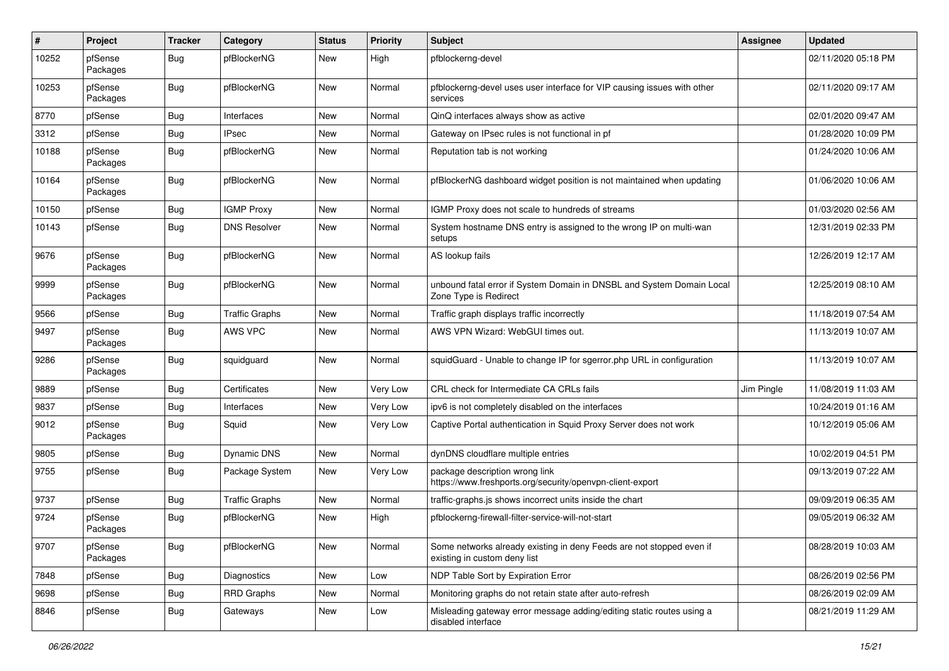| #     | Project             | <b>Tracker</b> | Category              | <b>Status</b> | <b>Priority</b> | <b>Subject</b>                                                                                       | Assignee   | <b>Updated</b>      |
|-------|---------------------|----------------|-----------------------|---------------|-----------------|------------------------------------------------------------------------------------------------------|------------|---------------------|
| 10252 | pfSense<br>Packages | <b>Bug</b>     | pfBlockerNG           | New           | High            | pfblockerng-devel                                                                                    |            | 02/11/2020 05:18 PM |
| 10253 | pfSense<br>Packages | <b>Bug</b>     | pfBlockerNG           | New           | Normal          | pfblockerng-devel uses user interface for VIP causing issues with other<br>services                  |            | 02/11/2020 09:17 AM |
| 8770  | pfSense             | <b>Bug</b>     | Interfaces            | New           | Normal          | QinQ interfaces always show as active                                                                |            | 02/01/2020 09:47 AM |
| 3312  | pfSense             | <b>Bug</b>     | <b>IPsec</b>          | New           | Normal          | Gateway on IPsec rules is not functional in pf                                                       |            | 01/28/2020 10:09 PM |
| 10188 | pfSense<br>Packages | <b>Bug</b>     | pfBlockerNG           | New           | Normal          | Reputation tab is not working                                                                        |            | 01/24/2020 10:06 AM |
| 10164 | pfSense<br>Packages | <b>Bug</b>     | pfBlockerNG           | New           | Normal          | pfBlockerNG dashboard widget position is not maintained when updating                                |            | 01/06/2020 10:06 AM |
| 10150 | pfSense             | <b>Bug</b>     | <b>IGMP Proxy</b>     | New           | Normal          | IGMP Proxy does not scale to hundreds of streams                                                     |            | 01/03/2020 02:56 AM |
| 10143 | pfSense             | <b>Bug</b>     | <b>DNS Resolver</b>   | New           | Normal          | System hostname DNS entry is assigned to the wrong IP on multi-wan<br>setups                         |            | 12/31/2019 02:33 PM |
| 9676  | pfSense<br>Packages | <b>Bug</b>     | pfBlockerNG           | New           | Normal          | AS lookup fails                                                                                      |            | 12/26/2019 12:17 AM |
| 9999  | pfSense<br>Packages | <b>Bug</b>     | pfBlockerNG           | New           | Normal          | unbound fatal error if System Domain in DNSBL and System Domain Local<br>Zone Type is Redirect       |            | 12/25/2019 08:10 AM |
| 9566  | pfSense             | <b>Bug</b>     | <b>Traffic Graphs</b> | New           | Normal          | Traffic graph displays traffic incorrectly                                                           |            | 11/18/2019 07:54 AM |
| 9497  | pfSense<br>Packages | <b>Bug</b>     | AWS VPC               | New           | Normal          | AWS VPN Wizard: WebGUI times out.                                                                    |            | 11/13/2019 10:07 AM |
| 9286  | pfSense<br>Packages | <b>Bug</b>     | squidguard            | New           | Normal          | squidGuard - Unable to change IP for sgerror.php URL in configuration                                |            | 11/13/2019 10:07 AM |
| 9889  | pfSense             | <b>Bug</b>     | Certificates          | New           | Very Low        | CRL check for Intermediate CA CRLs fails                                                             | Jim Pingle | 11/08/2019 11:03 AM |
| 9837  | pfSense             | <b>Bug</b>     | Interfaces            | New           | Very Low        | ipv6 is not completely disabled on the interfaces                                                    |            | 10/24/2019 01:16 AM |
| 9012  | pfSense<br>Packages | <b>Bug</b>     | Squid                 | New           | Very Low        | Captive Portal authentication in Squid Proxy Server does not work                                    |            | 10/12/2019 05:06 AM |
| 9805  | pfSense             | <b>Bug</b>     | <b>Dynamic DNS</b>    | <b>New</b>    | Normal          | dynDNS cloudflare multiple entries                                                                   |            | 10/02/2019 04:51 PM |
| 9755  | pfSense             | <b>Bug</b>     | Package System        | New           | Very Low        | package description wrong link<br>https://www.freshports.org/security/openvpn-client-export          |            | 09/13/2019 07:22 AM |
| 9737  | pfSense             | Bug            | <b>Traffic Graphs</b> | New           | Normal          | traffic-graphs.js shows incorrect units inside the chart                                             |            | 09/09/2019 06:35 AM |
| 9724  | pfSense<br>Packages | <b>Bug</b>     | pfBlockerNG           | New           | High            | pfblockerng-firewall-filter-service-will-not-start                                                   |            | 09/05/2019 06:32 AM |
| 9707  | pfSense<br>Packages | <b>Bug</b>     | pfBlockerNG           | New           | Normal          | Some networks already existing in deny Feeds are not stopped even if<br>existing in custom deny list |            | 08/28/2019 10:03 AM |
| 7848  | pfSense             | <b>Bug</b>     | Diagnostics           | New           | Low             | NDP Table Sort by Expiration Error                                                                   |            | 08/26/2019 02:56 PM |
| 9698  | pfSense             | <b>Bug</b>     | <b>RRD Graphs</b>     | New           | Normal          | Monitoring graphs do not retain state after auto-refresh                                             |            | 08/26/2019 02:09 AM |
| 8846  | pfSense             | <b>Bug</b>     | Gateways              | New           | Low             | Misleading gateway error message adding/editing static routes using a<br>disabled interface          |            | 08/21/2019 11:29 AM |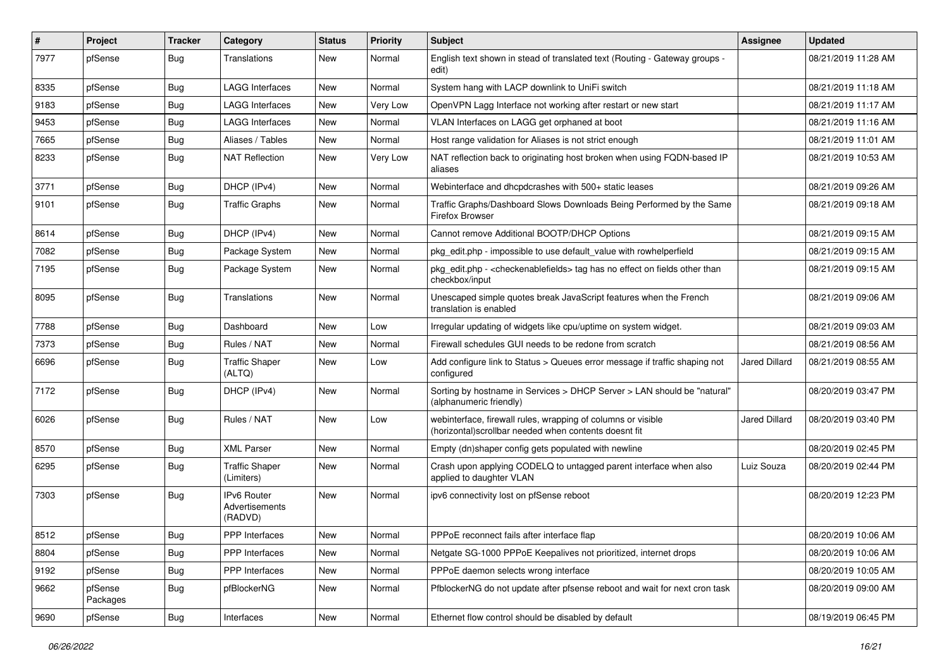| $\sharp$ | Project             | <b>Tracker</b> | Category                                 | <b>Status</b> | <b>Priority</b> | Subject                                                                                                               | <b>Assignee</b>      | <b>Updated</b>      |
|----------|---------------------|----------------|------------------------------------------|---------------|-----------------|-----------------------------------------------------------------------------------------------------------------------|----------------------|---------------------|
| 7977     | pfSense             | <b>Bug</b>     | Translations                             | New           | Normal          | English text shown in stead of translated text (Routing - Gateway groups -<br>edit)                                   |                      | 08/21/2019 11:28 AM |
| 8335     | pfSense             | <b>Bug</b>     | <b>LAGG Interfaces</b>                   | New           | Normal          | System hang with LACP downlink to UniFi switch                                                                        |                      | 08/21/2019 11:18 AM |
| 9183     | pfSense             | <b>Bug</b>     | LAGG Interfaces                          | <b>New</b>    | Very Low        | OpenVPN Lagg Interface not working after restart or new start                                                         |                      | 08/21/2019 11:17 AM |
| 9453     | pfSense             | <b>Bug</b>     | <b>LAGG Interfaces</b>                   | New           | Normal          | VLAN Interfaces on LAGG get orphaned at boot                                                                          |                      | 08/21/2019 11:16 AM |
| 7665     | pfSense             | <b>Bug</b>     | Aliases / Tables                         | New           | Normal          | Host range validation for Aliases is not strict enough                                                                |                      | 08/21/2019 11:01 AM |
| 8233     | pfSense             | <b>Bug</b>     | <b>NAT Reflection</b>                    | New           | Very Low        | NAT reflection back to originating host broken when using FQDN-based IP<br>aliases                                    |                      | 08/21/2019 10:53 AM |
| 3771     | pfSense             | <b>Bug</b>     | DHCP (IPv4)                              | New           | Normal          | Webinterface and dhcpdcrashes with 500+ static leases                                                                 |                      | 08/21/2019 09:26 AM |
| 9101     | pfSense             | <b>Bug</b>     | <b>Traffic Graphs</b>                    | New           | Normal          | Traffic Graphs/Dashboard Slows Downloads Being Performed by the Same<br>Firefox Browser                               |                      | 08/21/2019 09:18 AM |
| 8614     | pfSense             | <b>Bug</b>     | DHCP (IPv4)                              | <b>New</b>    | Normal          | Cannot remove Additional BOOTP/DHCP Options                                                                           |                      | 08/21/2019 09:15 AM |
| 7082     | pfSense             | <b>Bug</b>     | Package System                           | New           | Normal          | pkg_edit.php - impossible to use default_value with rowhelperfield                                                    |                      | 08/21/2019 09:15 AM |
| 7195     | pfSense             | <b>Bug</b>     | Package System                           | New           | Normal          | pkg_edit.php - <checkenablefields> tag has no effect on fields other than<br/>checkbox/input</checkenablefields>      |                      | 08/21/2019 09:15 AM |
| 8095     | pfSense             | <b>Bug</b>     | Translations                             | New           | Normal          | Unescaped simple quotes break JavaScript features when the French<br>translation is enabled                           |                      | 08/21/2019 09:06 AM |
| 7788     | pfSense             | <b>Bug</b>     | Dashboard                                | New           | Low             | Irregular updating of widgets like cpu/uptime on system widget.                                                       |                      | 08/21/2019 09:03 AM |
| 7373     | pfSense             | <b>Bug</b>     | Rules / NAT                              | New           | Normal          | Firewall schedules GUI needs to be redone from scratch                                                                |                      | 08/21/2019 08:56 AM |
| 6696     | pfSense             | <b>Bug</b>     | <b>Traffic Shaper</b><br>(ALTQ)          | New           | Low             | Add configure link to Status > Queues error message if traffic shaping not<br>configured                              | Jared Dillard        | 08/21/2019 08:55 AM |
| 7172     | pfSense             | <b>Bug</b>     | DHCP (IPv4)                              | New           | Normal          | Sorting by hostname in Services > DHCP Server > LAN should be "natural"<br>(alphanumeric friendly)                    |                      | 08/20/2019 03:47 PM |
| 6026     | pfSense             | <b>Bug</b>     | Rules / NAT                              | New           | Low             | webinterface, firewall rules, wrapping of columns or visible<br>(horizontal)scrollbar needed when contents doesnt fit | <b>Jared Dillard</b> | 08/20/2019 03:40 PM |
| 8570     | pfSense             | <b>Bug</b>     | <b>XML Parser</b>                        | New           | Normal          | Empty (dn)shaper config gets populated with newline                                                                   |                      | 08/20/2019 02:45 PM |
| 6295     | pfSense             | <b>Bug</b>     | <b>Traffic Shaper</b><br>(Limiters)      | New           | Normal          | Crash upon applying CODELQ to untagged parent interface when also<br>applied to daughter VLAN                         | Luiz Souza           | 08/20/2019 02:44 PM |
| 7303     | pfSense             | Bug            | IPv6 Router<br>Advertisements<br>(RADVD) | New           | Normal          | ipv6 connectivity lost on pfSense reboot                                                                              |                      | 08/20/2019 12:23 PM |
| 8512     | pfSense             | <b>Bug</b>     | PPP Interfaces                           | New           | Normal          | PPPoE reconnect fails after interface flap                                                                            |                      | 08/20/2019 10:06 AM |
| 8804     | pfSense             | <b>Bug</b>     | <b>PPP</b> Interfaces                    | New           | Normal          | Netgate SG-1000 PPPoE Keepalives not prioritized, internet drops                                                      |                      | 08/20/2019 10:06 AM |
| 9192     | pfSense             | Bug            | <b>PPP</b> Interfaces                    | New           | Normal          | PPPoE daemon selects wrong interface                                                                                  |                      | 08/20/2019 10:05 AM |
| 9662     | pfSense<br>Packages | <b>Bug</b>     | pfBlockerNG                              | New           | Normal          | PfblockerNG do not update after pfsense reboot and wait for next cron task                                            |                      | 08/20/2019 09:00 AM |
| 9690     | pfSense             | <b>Bug</b>     | Interfaces                               | New           | Normal          | Ethernet flow control should be disabled by default                                                                   |                      | 08/19/2019 06:45 PM |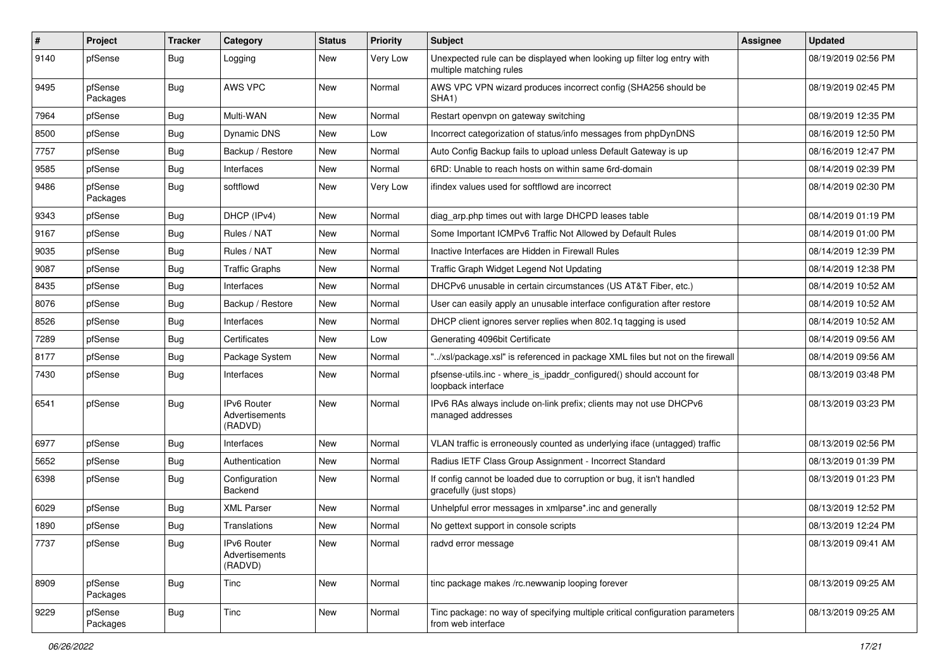| $\vert$ # | Project             | Tracker    | Category                                 | <b>Status</b> | <b>Priority</b> | <b>Subject</b>                                                                                      | Assignee | <b>Updated</b>      |
|-----------|---------------------|------------|------------------------------------------|---------------|-----------------|-----------------------------------------------------------------------------------------------------|----------|---------------------|
| 9140      | pfSense             | <b>Bug</b> | Logging                                  | New           | Very Low        | Unexpected rule can be displayed when looking up filter log entry with<br>multiple matching rules   |          | 08/19/2019 02:56 PM |
| 9495      | pfSense<br>Packages | <b>Bug</b> | AWS VPC                                  | New           | Normal          | AWS VPC VPN wizard produces incorrect config (SHA256 should be<br>SHA1)                             |          | 08/19/2019 02:45 PM |
| 7964      | pfSense             | <b>Bug</b> | Multi-WAN                                | New           | Normal          | Restart openvpn on gateway switching                                                                |          | 08/19/2019 12:35 PM |
| 8500      | pfSense             | <b>Bug</b> | Dynamic DNS                              | New           | Low             | Incorrect categorization of status/info messages from phpDynDNS                                     |          | 08/16/2019 12:50 PM |
| 7757      | pfSense             | <b>Bug</b> | Backup / Restore                         | New           | Normal          | Auto Config Backup fails to upload unless Default Gateway is up                                     |          | 08/16/2019 12:47 PM |
| 9585      | pfSense             | <b>Bug</b> | Interfaces                               | New           | Normal          | 6RD: Unable to reach hosts on within same 6rd-domain                                                |          | 08/14/2019 02:39 PM |
| 9486      | pfSense<br>Packages | <b>Bug</b> | softflowd                                | New           | Very Low        | ifindex values used for softflowd are incorrect                                                     |          | 08/14/2019 02:30 PM |
| 9343      | pfSense             | <b>Bug</b> | DHCP (IPv4)                              | New           | Normal          | diag_arp.php times out with large DHCPD leases table                                                |          | 08/14/2019 01:19 PM |
| 9167      | pfSense             | <b>Bug</b> | Rules / NAT                              | New           | Normal          | Some Important ICMPv6 Traffic Not Allowed by Default Rules                                          |          | 08/14/2019 01:00 PM |
| 9035      | pfSense             | <b>Bug</b> | Rules / NAT                              | New           | Normal          | Inactive Interfaces are Hidden in Firewall Rules                                                    |          | 08/14/2019 12:39 PM |
| 9087      | pfSense             | <b>Bug</b> | <b>Traffic Graphs</b>                    | New           | Normal          | Traffic Graph Widget Legend Not Updating                                                            |          | 08/14/2019 12:38 PM |
| 8435      | pfSense             | <b>Bug</b> | Interfaces                               | New           | Normal          | DHCPv6 unusable in certain circumstances (US AT&T Fiber, etc.)                                      |          | 08/14/2019 10:52 AM |
| 8076      | pfSense             | <b>Bug</b> | Backup / Restore                         | New           | Normal          | User can easily apply an unusable interface configuration after restore                             |          | 08/14/2019 10:52 AM |
| 8526      | pfSense             | <b>Bug</b> | Interfaces                               | New           | Normal          | DHCP client ignores server replies when 802.1q tagging is used                                      |          | 08/14/2019 10:52 AM |
| 7289      | pfSense             | <b>Bug</b> | Certificates                             | New           | Low             | Generating 4096bit Certificate                                                                      |          | 08/14/2019 09:56 AM |
| 8177      | pfSense             | <b>Bug</b> | Package System                           | New           | Normal          | '/xsl/package.xsl" is referenced in package XML files but not on the firewall                       |          | 08/14/2019 09:56 AM |
| 7430      | pfSense             | <b>Bug</b> | Interfaces                               | New           | Normal          | pfsense-utils.inc - where_is_ipaddr_configured() should account for<br>loopback interface           |          | 08/13/2019 03:48 PM |
| 6541      | pfSense             | Bug        | IPv6 Router<br>Advertisements<br>(RADVD) | New           | Normal          | IPv6 RAs always include on-link prefix; clients may not use DHCPv6<br>managed addresses             |          | 08/13/2019 03:23 PM |
| 6977      | pfSense             | <b>Bug</b> | Interfaces                               | New           | Normal          | VLAN traffic is erroneously counted as underlying iface (untagged) traffic                          |          | 08/13/2019 02:56 PM |
| 5652      | pfSense             | <b>Bug</b> | Authentication                           | New           | Normal          | Radius IETF Class Group Assignment - Incorrect Standard                                             |          | 08/13/2019 01:39 PM |
| 6398      | pfSense             | <b>Bug</b> | Configuration<br>Backend                 | New           | Normal          | If config cannot be loaded due to corruption or bug, it isn't handled<br>gracefully (just stops)    |          | 08/13/2019 01:23 PM |
| 6029      | pfSense             | <b>Bug</b> | <b>XML Parser</b>                        | New           | Normal          | Unhelpful error messages in xmlparse*.inc and generally                                             |          | 08/13/2019 12:52 PM |
| 1890      | pfSense             | <b>Bug</b> | Translations                             | New           | Normal          | No gettext support in console scripts                                                               |          | 08/13/2019 12:24 PM |
| 7737      | pfSense             | <b>Bug</b> | IPv6 Router<br>Advertisements<br>(RADVD) | New           | Normal          | radvd error message                                                                                 |          | 08/13/2019 09:41 AM |
| 8909      | pfSense<br>Packages | Bug        | Tinc                                     | New           | Normal          | tinc package makes /rc.newwanip looping forever                                                     |          | 08/13/2019 09:25 AM |
| 9229      | pfSense<br>Packages | <b>Bug</b> | Tinc                                     | New           | Normal          | Tinc package: no way of specifying multiple critical configuration parameters<br>from web interface |          | 08/13/2019 09:25 AM |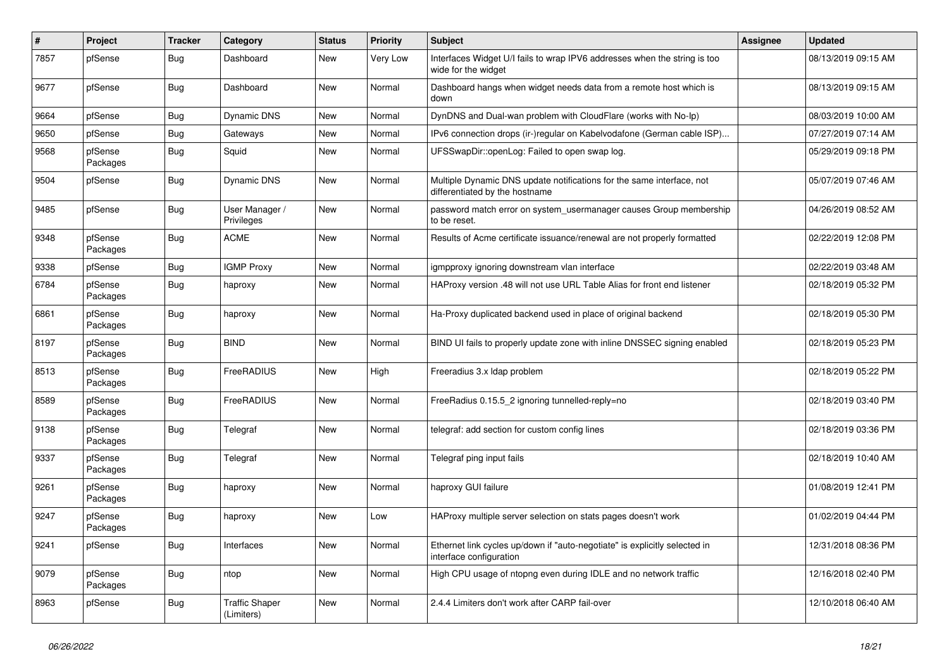| #    | Project             | <b>Tracker</b> | Category                            | <b>Status</b> | <b>Priority</b> | <b>Subject</b>                                                                                          | Assignee | <b>Updated</b>      |
|------|---------------------|----------------|-------------------------------------|---------------|-----------------|---------------------------------------------------------------------------------------------------------|----------|---------------------|
| 7857 | pfSense             | <b>Bug</b>     | Dashboard                           | New           | Very Low        | Interfaces Widget U/I fails to wrap IPV6 addresses when the string is too<br>wide for the widget        |          | 08/13/2019 09:15 AM |
| 9677 | pfSense             | <b>Bug</b>     | Dashboard                           | New           | Normal          | Dashboard hangs when widget needs data from a remote host which is<br>down                              |          | 08/13/2019 09:15 AM |
| 9664 | pfSense             | <b>Bug</b>     | <b>Dynamic DNS</b>                  | New           | Normal          | DynDNS and Dual-wan problem with CloudFlare (works with No-Ip)                                          |          | 08/03/2019 10:00 AM |
| 9650 | pfSense             | Bug            | Gateways                            | New           | Normal          | IPv6 connection drops (ir-)regular on Kabelvodafone (German cable ISP)                                  |          | 07/27/2019 07:14 AM |
| 9568 | pfSense<br>Packages | Bug            | Squid                               | New           | Normal          | UFSSwapDir::openLog: Failed to open swap log.                                                           |          | 05/29/2019 09:18 PM |
| 9504 | pfSense             | <b>Bug</b>     | Dynamic DNS                         | New           | Normal          | Multiple Dynamic DNS update notifications for the same interface, not<br>differentiated by the hostname |          | 05/07/2019 07:46 AM |
| 9485 | pfSense             | <b>Bug</b>     | User Manager /<br>Privileges        | New           | Normal          | password match error on system_usermanager causes Group membership<br>to be reset.                      |          | 04/26/2019 08:52 AM |
| 9348 | pfSense<br>Packages | <b>Bug</b>     | <b>ACME</b>                         | New           | Normal          | Results of Acme certificate issuance/renewal are not properly formatted                                 |          | 02/22/2019 12:08 PM |
| 9338 | pfSense             | Bug            | <b>IGMP Proxy</b>                   | New           | Normal          | igmpproxy ignoring downstream vlan interface                                                            |          | 02/22/2019 03:48 AM |
| 6784 | pfSense<br>Packages | <b>Bug</b>     | haproxy                             | New           | Normal          | HAProxy version .48 will not use URL Table Alias for front end listener                                 |          | 02/18/2019 05:32 PM |
| 6861 | pfSense<br>Packages | <b>Bug</b>     | haproxy                             | New           | Normal          | Ha-Proxy duplicated backend used in place of original backend                                           |          | 02/18/2019 05:30 PM |
| 8197 | pfSense<br>Packages | <b>Bug</b>     | <b>BIND</b>                         | New           | Normal          | BIND UI fails to properly update zone with inline DNSSEC signing enabled                                |          | 02/18/2019 05:23 PM |
| 8513 | pfSense<br>Packages | <b>Bug</b>     | FreeRADIUS                          | New           | High            | Freeradius 3.x Idap problem                                                                             |          | 02/18/2019 05:22 PM |
| 8589 | pfSense<br>Packages | Bug            | FreeRADIUS                          | New           | Normal          | FreeRadius 0.15.5_2 ignoring tunnelled-reply=no                                                         |          | 02/18/2019 03:40 PM |
| 9138 | pfSense<br>Packages | <b>Bug</b>     | Telegraf                            | New           | Normal          | telegraf: add section for custom config lines                                                           |          | 02/18/2019 03:36 PM |
| 9337 | pfSense<br>Packages | <b>Bug</b>     | Telegraf                            | New           | Normal          | Telegraf ping input fails                                                                               |          | 02/18/2019 10:40 AM |
| 9261 | pfSense<br>Packages | <b>Bug</b>     | haproxy                             | New           | Normal          | haproxy GUI failure                                                                                     |          | 01/08/2019 12:41 PM |
| 9247 | pfSense<br>Packages | <b>Bug</b>     | haproxy                             | New           | Low             | HAProxy multiple server selection on stats pages doesn't work                                           |          | 01/02/2019 04:44 PM |
| 9241 | pfSense             | <b>Bug</b>     | Interfaces                          | New           | Normal          | Ethernet link cycles up/down if "auto-negotiate" is explicitly selected in<br>interface configuration   |          | 12/31/2018 08:36 PM |
| 9079 | pfSense<br>Packages | <b>Bug</b>     | ntop                                | New           | Normal          | High CPU usage of ntopng even during IDLE and no network traffic                                        |          | 12/16/2018 02:40 PM |
| 8963 | pfSense             | <b>Bug</b>     | <b>Traffic Shaper</b><br>(Limiters) | New           | Normal          | 2.4.4 Limiters don't work after CARP fail-over                                                          |          | 12/10/2018 06:40 AM |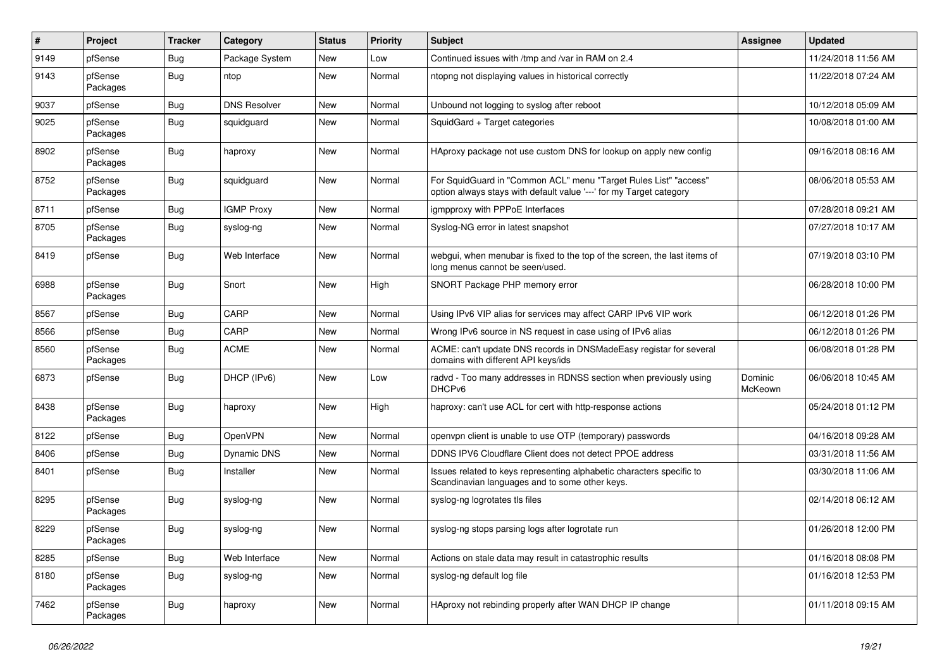| $\vert$ # | Project             | <b>Tracker</b> | Category            | <b>Status</b> | <b>Priority</b> | <b>Subject</b>                                                                                                                          | Assignee           | <b>Updated</b>      |
|-----------|---------------------|----------------|---------------------|---------------|-----------------|-----------------------------------------------------------------------------------------------------------------------------------------|--------------------|---------------------|
| 9149      | pfSense             | <b>Bug</b>     | Package System      | New           | Low             | Continued issues with /tmp and /var in RAM on 2.4                                                                                       |                    | 11/24/2018 11:56 AM |
| 9143      | pfSense<br>Packages | <b>Bug</b>     | ntop                | New           | Normal          | ntopng not displaying values in historical correctly                                                                                    |                    | 11/22/2018 07:24 AM |
| 9037      | pfSense             | Bug            | <b>DNS Resolver</b> | New           | Normal          | Unbound not logging to syslog after reboot                                                                                              |                    | 10/12/2018 05:09 AM |
| 9025      | pfSense<br>Packages | <b>Bug</b>     | squidguard          | New           | Normal          | SquidGard + Target categories                                                                                                           |                    | 10/08/2018 01:00 AM |
| 8902      | pfSense<br>Packages | <b>Bug</b>     | haproxy             | New           | Normal          | HAproxy package not use custom DNS for lookup on apply new config                                                                       |                    | 09/16/2018 08:16 AM |
| 8752      | pfSense<br>Packages | <b>Bug</b>     | squidguard          | New           | Normal          | For SquidGuard in "Common ACL" menu "Target Rules List" "access"<br>option always stays with default value '---' for my Target category |                    | 08/06/2018 05:53 AM |
| 8711      | pfSense             | Bug            | <b>IGMP Proxy</b>   | New           | Normal          | igmpproxy with PPPoE Interfaces                                                                                                         |                    | 07/28/2018 09:21 AM |
| 8705      | pfSense<br>Packages | <b>Bug</b>     | syslog-ng           | New           | Normal          | Syslog-NG error in latest snapshot                                                                                                      |                    | 07/27/2018 10:17 AM |
| 8419      | pfSense             | Bug            | Web Interface       | New           | Normal          | webgui, when menubar is fixed to the top of the screen, the last items of<br>long menus cannot be seen/used.                            |                    | 07/19/2018 03:10 PM |
| 6988      | pfSense<br>Packages | <b>Bug</b>     | Snort               | New           | High            | SNORT Package PHP memory error                                                                                                          |                    | 06/28/2018 10:00 PM |
| 8567      | pfSense             | <b>Bug</b>     | CARP                | New           | Normal          | Using IPv6 VIP alias for services may affect CARP IPv6 VIP work                                                                         |                    | 06/12/2018 01:26 PM |
| 8566      | pfSense             | <b>Bug</b>     | CARP                | New           | Normal          | Wrong IPv6 source in NS request in case using of IPv6 alias                                                                             |                    | 06/12/2018 01:26 PM |
| 8560      | pfSense<br>Packages | <b>Bug</b>     | <b>ACME</b>         | New           | Normal          | ACME: can't update DNS records in DNSMadeEasy registar for several<br>domains with different API keys/ids                               |                    | 06/08/2018 01:28 PM |
| 6873      | pfSense             | Bug            | DHCP (IPv6)         | New           | Low             | radvd - Too many addresses in RDNSS section when previously using<br>DHCPv6                                                             | Dominic<br>McKeown | 06/06/2018 10:45 AM |
| 8438      | pfSense<br>Packages | <b>Bug</b>     | haproxy             | New           | High            | haproxy: can't use ACL for cert with http-response actions                                                                              |                    | 05/24/2018 01:12 PM |
| 8122      | pfSense             | <b>Bug</b>     | OpenVPN             | New           | Normal          | openvpn client is unable to use OTP (temporary) passwords                                                                               |                    | 04/16/2018 09:28 AM |
| 8406      | pfSense             | <b>Bug</b>     | Dynamic DNS         | New           | Normal          | DDNS IPV6 Cloudflare Client does not detect PPOE address                                                                                |                    | 03/31/2018 11:56 AM |
| 8401      | pfSense             | <b>Bug</b>     | Installer           | New           | Normal          | Issues related to keys representing alphabetic characters specific to<br>Scandinavian languages and to some other keys.                 |                    | 03/30/2018 11:06 AM |
| 8295      | pfSense<br>Packages | <b>Bug</b>     | syslog-ng           | New           | Normal          | syslog-ng logrotates tls files                                                                                                          |                    | 02/14/2018 06:12 AM |
| 8229      | pfSense<br>Packages | <b>Bug</b>     | syslog-ng           | New           | Normal          | syslog-ng stops parsing logs after logrotate run                                                                                        |                    | 01/26/2018 12:00 PM |
| 8285      | pfSense             | <b>Bug</b>     | Web Interface       | New           | Normal          | Actions on stale data may result in catastrophic results                                                                                |                    | 01/16/2018 08:08 PM |
| 8180      | pfSense<br>Packages | Bug            | syslog-ng           | New           | Normal          | syslog-ng default log file                                                                                                              |                    | 01/16/2018 12:53 PM |
| 7462      | pfSense<br>Packages | <b>Bug</b>     | haproxy             | New           | Normal          | HAproxy not rebinding properly after WAN DHCP IP change                                                                                 |                    | 01/11/2018 09:15 AM |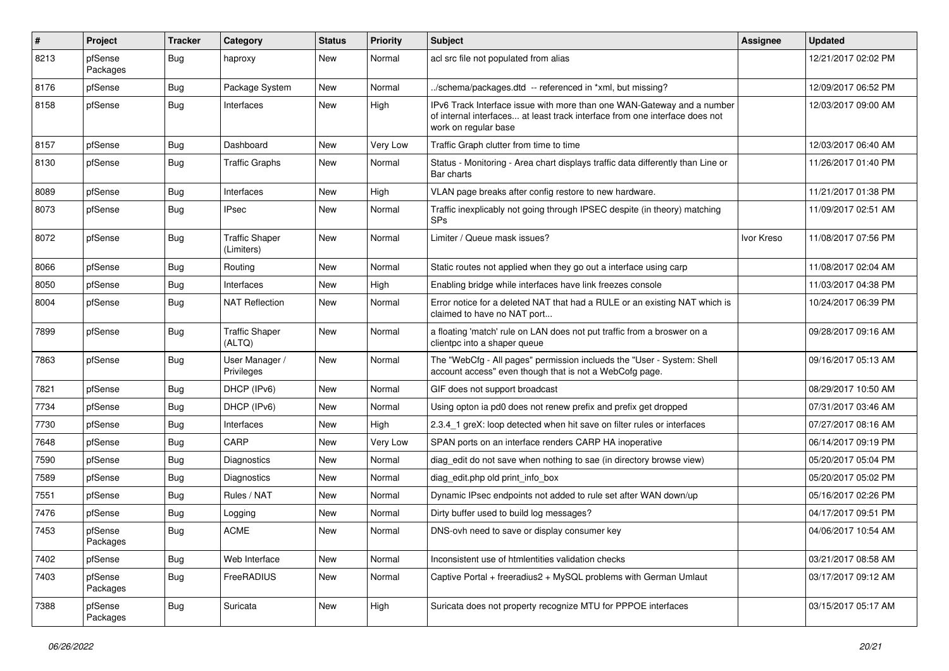| $\vert$ # | Project             | Tracker    | Category                            | <b>Status</b> | <b>Priority</b> | Subject                                                                                                                                                                       | <b>Assignee</b> | <b>Updated</b>      |
|-----------|---------------------|------------|-------------------------------------|---------------|-----------------|-------------------------------------------------------------------------------------------------------------------------------------------------------------------------------|-----------------|---------------------|
| 8213      | pfSense<br>Packages | <b>Bug</b> | haproxy                             | New           | Normal          | acl src file not populated from alias                                                                                                                                         |                 | 12/21/2017 02:02 PM |
| 8176      | pfSense             | <b>Bug</b> | Package System                      | New           | Normal          | ./schema/packages.dtd -- referenced in *xml, but missing?                                                                                                                     |                 | 12/09/2017 06:52 PM |
| 8158      | pfSense             | <b>Bug</b> | Interfaces                          | New           | High            | IPv6 Track Interface issue with more than one WAN-Gateway and a number<br>of internal interfaces at least track interface from one interface does not<br>work on regular base |                 | 12/03/2017 09:00 AM |
| 8157      | pfSense             | <b>Bug</b> | Dashboard                           | New           | Very Low        | Traffic Graph clutter from time to time                                                                                                                                       |                 | 12/03/2017 06:40 AM |
| 8130      | pfSense             | <b>Bug</b> | <b>Traffic Graphs</b>               | New           | Normal          | Status - Monitoring - Area chart displays traffic data differently than Line or<br>Bar charts                                                                                 |                 | 11/26/2017 01:40 PM |
| 8089      | pfSense             | <b>Bug</b> | Interfaces                          | New           | High            | VLAN page breaks after config restore to new hardware.                                                                                                                        |                 | 11/21/2017 01:38 PM |
| 8073      | pfSense             | <b>Bug</b> | <b>IPsec</b>                        | New           | Normal          | Traffic inexplicably not going through IPSEC despite (in theory) matching<br><b>SPs</b>                                                                                       |                 | 11/09/2017 02:51 AM |
| 8072      | pfSense             | <b>Bug</b> | <b>Traffic Shaper</b><br>(Limiters) | New           | Normal          | Limiter / Queue mask issues?                                                                                                                                                  | Ivor Kreso      | 11/08/2017 07:56 PM |
| 8066      | pfSense             | <b>Bug</b> | Routing                             | New           | Normal          | Static routes not applied when they go out a interface using carp                                                                                                             |                 | 11/08/2017 02:04 AM |
| 8050      | pfSense             | <b>Bug</b> | Interfaces                          | New           | High            | Enabling bridge while interfaces have link freezes console                                                                                                                    |                 | 11/03/2017 04:38 PM |
| 8004      | pfSense             | <b>Bug</b> | <b>NAT Reflection</b>               | New           | Normal          | Error notice for a deleted NAT that had a RULE or an existing NAT which is<br>claimed to have no NAT port                                                                     |                 | 10/24/2017 06:39 PM |
| 7899      | pfSense             | <b>Bug</b> | <b>Traffic Shaper</b><br>(ALTQ)     | New           | Normal          | a floating 'match' rule on LAN does not put traffic from a broswer on a<br>clientpc into a shaper queue                                                                       |                 | 09/28/2017 09:16 AM |
| 7863      | pfSense             | Bug        | User Manager /<br>Privileges        | New           | Normal          | The "WebCfg - All pages" permission inclueds the "User - System: Shell<br>account access" even though that is not a WebCofg page.                                             |                 | 09/16/2017 05:13 AM |
| 7821      | pfSense             | <b>Bug</b> | DHCP (IPv6)                         | New           | Normal          | GIF does not support broadcast                                                                                                                                                |                 | 08/29/2017 10:50 AM |
| 7734      | pfSense             | <b>Bug</b> | DHCP (IPv6)                         | New           | Normal          | Using opton ia pd0 does not renew prefix and prefix get dropped                                                                                                               |                 | 07/31/2017 03:46 AM |
| 7730      | pfSense             | <b>Bug</b> | Interfaces                          | New           | High            | 2.3.4_1 greX: loop detected when hit save on filter rules or interfaces                                                                                                       |                 | 07/27/2017 08:16 AM |
| 7648      | pfSense             | <b>Bug</b> | CARP                                | New           | Very Low        | SPAN ports on an interface renders CARP HA inoperative                                                                                                                        |                 | 06/14/2017 09:19 PM |
| 7590      | pfSense             | <b>Bug</b> | Diagnostics                         | New           | Normal          | diag_edit do not save when nothing to sae (in directory browse view)                                                                                                          |                 | 05/20/2017 05:04 PM |
| 7589      | pfSense             | <b>Bug</b> | <b>Diagnostics</b>                  | New           | Normal          | diag_edit.php old print_info_box                                                                                                                                              |                 | 05/20/2017 05:02 PM |
| 7551      | pfSense             | <b>Bug</b> | Rules / NAT                         | New           | Normal          | Dynamic IPsec endpoints not added to rule set after WAN down/up                                                                                                               |                 | 05/16/2017 02:26 PM |
| 7476      | pfSense             | <b>Bug</b> | Logging                             | New           | Normal          | Dirty buffer used to build log messages?                                                                                                                                      |                 | 04/17/2017 09:51 PM |
| 7453      | pfSense<br>Packages | <b>Bug</b> | <b>ACME</b>                         | New           | Normal          | DNS-ovh need to save or display consumer key                                                                                                                                  |                 | 04/06/2017 10:54 AM |
| 7402      | pfSense             | <b>Bug</b> | Web Interface                       | New           | Normal          | Inconsistent use of htmlentities validation checks                                                                                                                            |                 | 03/21/2017 08:58 AM |
| 7403      | pfSense<br>Packages | Bug        | FreeRADIUS                          | New           | Normal          | Captive Portal + freeradius2 + MySQL problems with German Umlaut                                                                                                              |                 | 03/17/2017 09:12 AM |
| 7388      | pfSense<br>Packages | Bug        | Suricata                            | New           | High            | Suricata does not property recognize MTU for PPPOE interfaces                                                                                                                 |                 | 03/15/2017 05:17 AM |